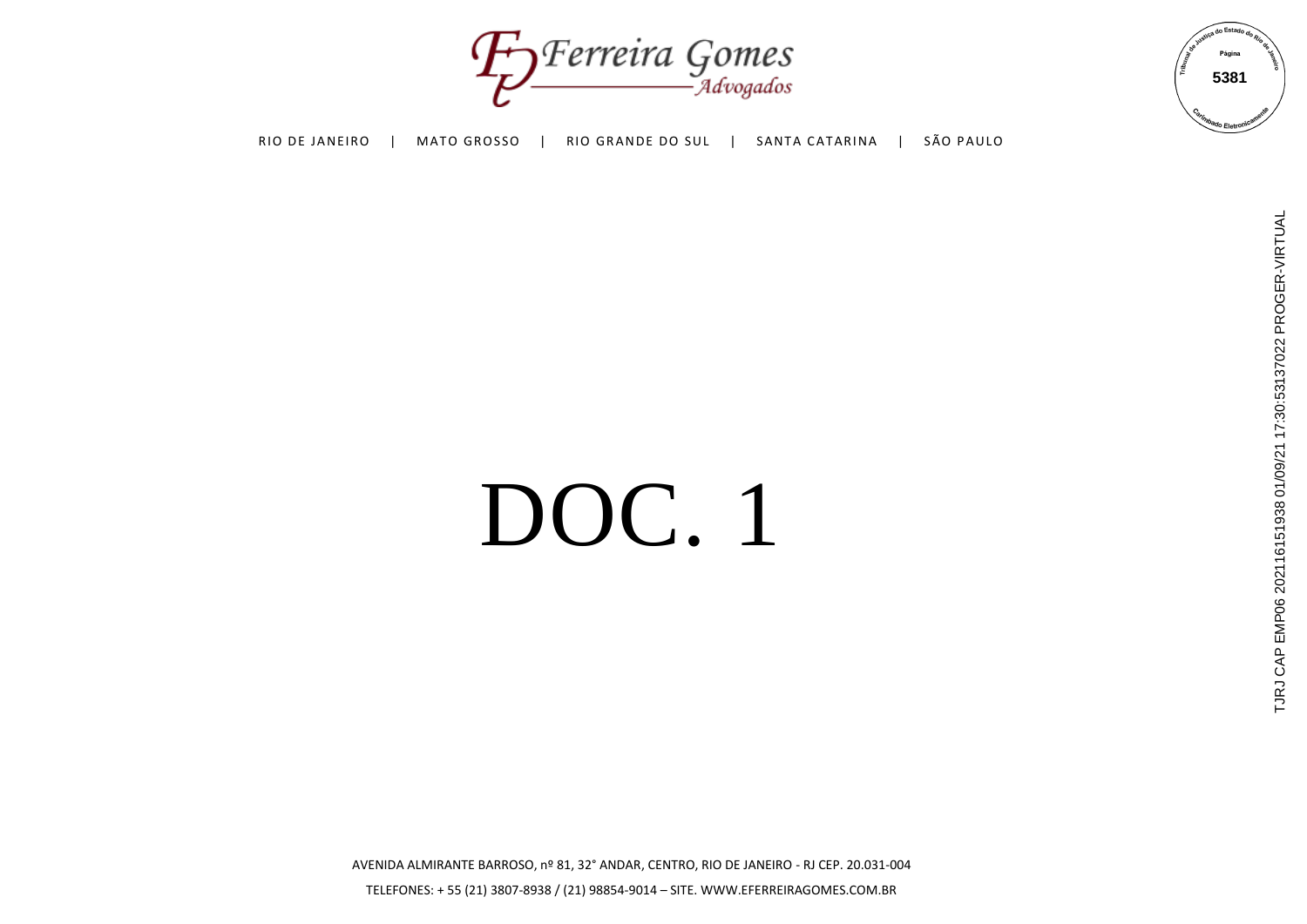Foreira Gomes



# DOC. 1

TJRJ CAP EMP06 202116151938 01/09/21 17:30:53137022 PROGER-VIRTUAL TJRJ CAP EMP06 202116151938 01/09/21 17:30:53137022 PROGER-VIRTUAL

AVENIDA ALMIRANTE BARROSO, nº 81, 32° ANDAR, CENTRO, RIO DE JANEIRO - RJ CEP. 20.031-004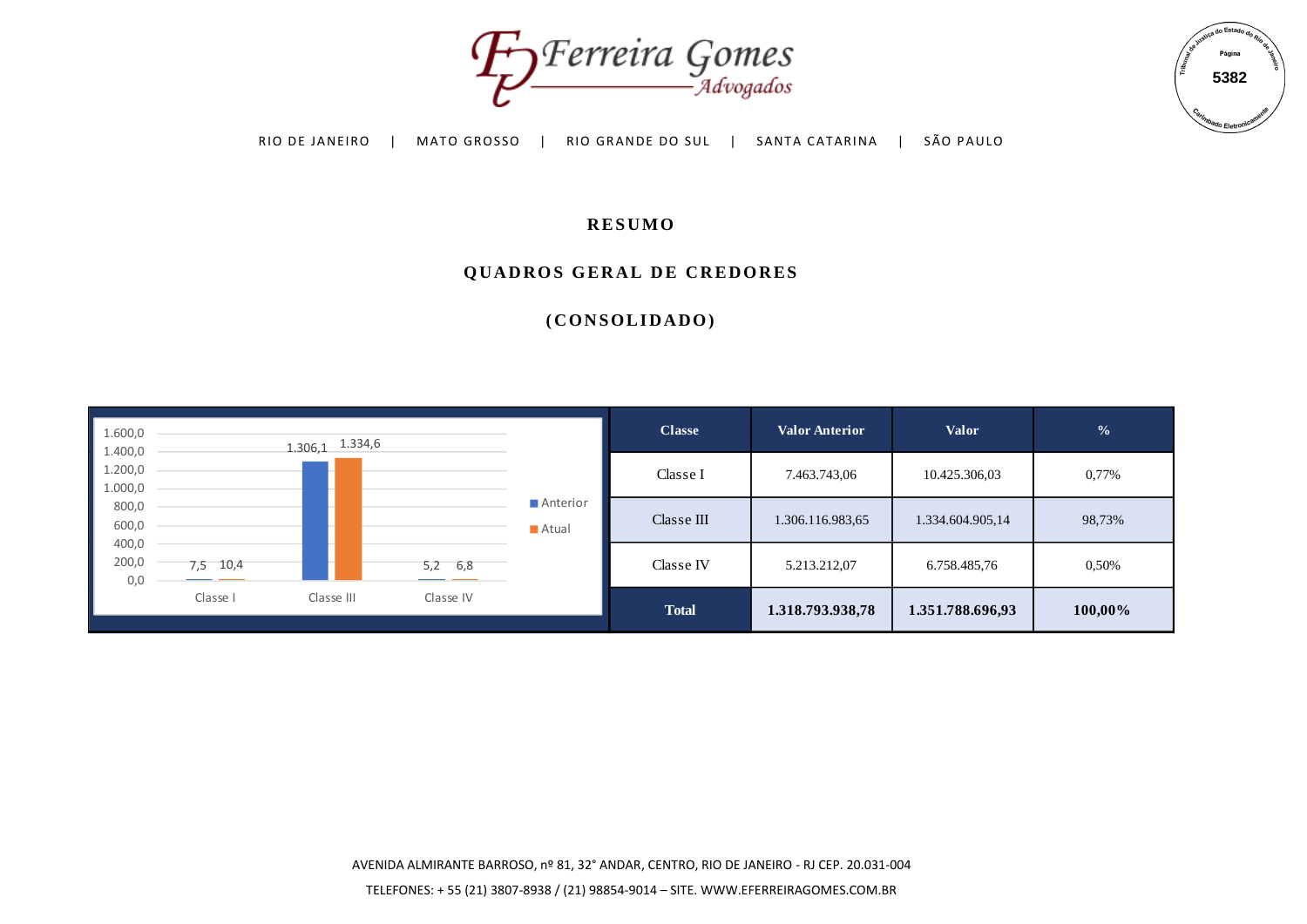



## **R E S U M O**

#### **QUADROS GERAL DE CREDORES**

|                               |            | RIO DE JANEIRO        | MATO GROSSO |                   | -Advogados<br>RIO GRANDE DO SUL | SANTA CATARINA        | SÃO PAULO        |               | 5382<br><b><i>Inhado</i></b> Eletron |
|-------------------------------|------------|-----------------------|-------------|-------------------|---------------------------------|-----------------------|------------------|---------------|--------------------------------------|
| <b>RESUMO</b>                 |            |                       |             |                   |                                 |                       |                  |               |                                      |
|                               |            |                       |             |                   | QUADROS GERAL DE CREDORES       |                       |                  |               |                                      |
|                               |            |                       |             |                   | (CONSOLIDADO)                   |                       |                  |               |                                      |
|                               |            |                       |             |                   |                                 |                       |                  |               |                                      |
|                               |            |                       |             |                   |                                 |                       |                  |               |                                      |
|                               |            |                       |             |                   |                                 |                       |                  |               |                                      |
| 1.600,0                       |            |                       |             |                   | <b>Classe</b>                   | <b>Valor Anterior</b> | <b>Valor</b>     | $\frac{0}{6}$ |                                      |
| 1.400,0<br>1.200,0<br>1.000,0 |            | $1.306, 1$ $1.334, 6$ |             |                   | Classe I                        | 7.463.743,06          | 10.425.306,03    | 0,77%         |                                      |
| 800,0<br>600,0                |            |                       |             | Anterior<br>Atual | Classe $\rm III$                | 1.306.116.983,65      | 1.334.604.905,14 | 98,73%        |                                      |
| 400,0<br>200,0<br>0,0         | $7,5$ 10,4 |                       | $5,2$ 6,8   |                   | $\rm{Class}\,e$ IV              | 5.213.212,07          | 6.758.485,76     | 0,50%         |                                      |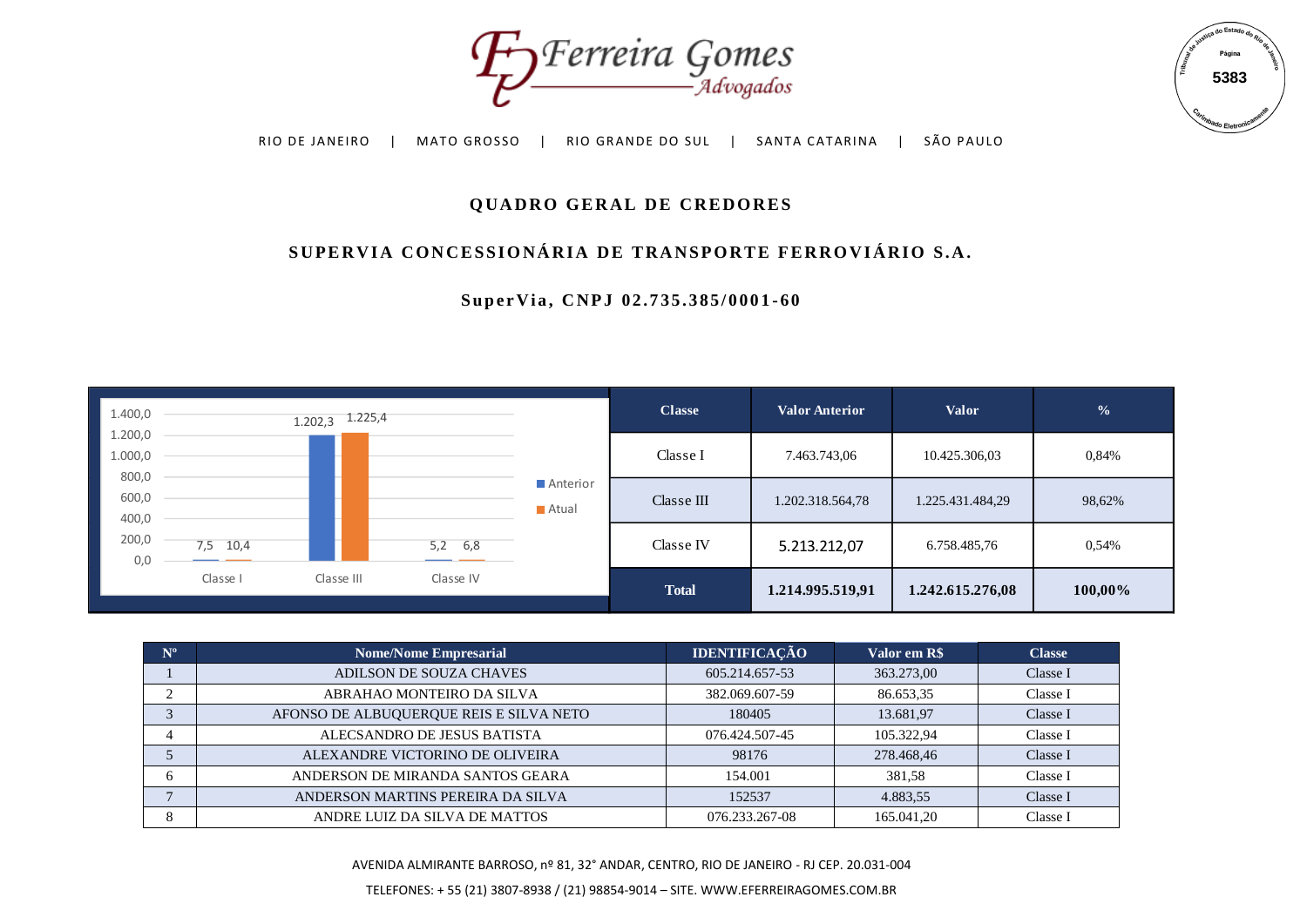



# **QUADRO GERAL DE CREDORES**

# SUPERVIA CONCESSIONÁRIA DE TRANSPORTE FERROVIÁRIO S.A.

**S u p e r V i a , C N P J 0 2 . 7 3 5 . 3 8 5 / 0 0 0 1 - 6 0**



| $N^{\rm o}$ | <b>Nome/Nome Empresarial</b>            | <b>IDENTIFICAÇÃO</b> | Valor em R\$ | <b>Classe</b> |
|-------------|-----------------------------------------|----------------------|--------------|---------------|
|             | ADILSON DE SOUZA CHAVES                 | 605.214.657-53       | 363.273,00   | Classe I      |
|             | ABRAHAO MONTEIRO DA SILVA               | 382.069.607-59       | 86.653,35    | Classe I      |
| 3           | AFONSO DE ALBUQUERQUE REIS E SILVA NETO | 180405               | 13.681,97    | Classe I      |
|             | ALECSANDRO DE JESUS BATISTA             | 076.424.507-45       | 105.322,94   | Classe I      |
|             | ALEXANDRE VICTORINO DE OLIVEIRA         | 98176                | 278.468,46   | Classe I      |
| 6           | ANDERSON DE MIRANDA SANTOS GEARA        | 154.001              | 381.58       | Classe I      |
|             | ANDERSON MARTINS PEREIRA DA SILVA       | 152537               | 4.883,55     | Classe I      |
| 8           | ANDRE LUIZ DA SILVA DE MATTOS           | 076.233.267-08       | 165.041,20   | Classe I      |

AVENIDA ALMIRANTE BARROSO, nº 81, 32° ANDAR, CENTRO, RIO DE JANEIRO - RJ CEP. 20.031-004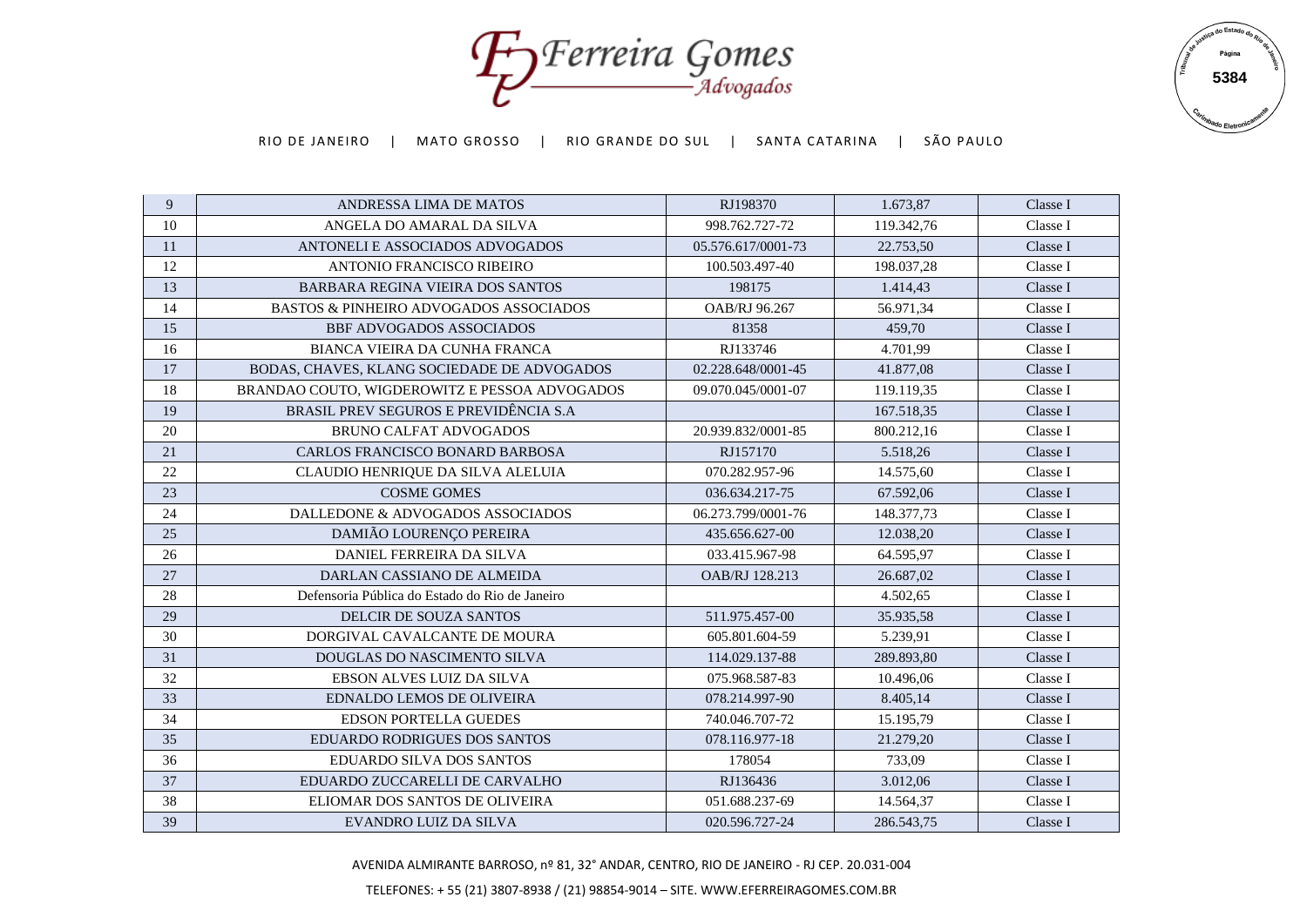Forreira Gomes



| 9  | ANDRESSA LIMA DE MATOS                            | RJ198370           | 1.673,87   | Classe I |
|----|---------------------------------------------------|--------------------|------------|----------|
| 10 | ANGELA DO AMARAL DA SILVA                         | 998.762.727-72     | 119.342,76 | Classe I |
| 11 | ANTONELI E ASSOCIADOS ADVOGADOS                   | 05.576.617/0001-73 | 22.753.50  | Classe I |
| 12 | <b>ANTONIO FRANCISCO RIBEIRO</b>                  | 100.503.497-40     | 198.037,28 | Classe I |
| 13 | BARBARA REGINA VIEIRA DOS SANTOS                  | 198175             | 1.414,43   | Classe I |
| 14 | <b>BASTOS &amp; PINHEIRO ADVOGADOS ASSOCIADOS</b> | OAB/RJ 96.267      | 56.971,34  | Classe I |
| 15 | <b>BBF ADVOGADOS ASSOCIADOS</b>                   | 81358              | 459,70     | Classe I |
| 16 | <b>BIANCA VIEIRA DA CUNHA FRANCA</b>              | RJ133746           | 4.701,99   | Classe I |
| 17 | BODAS, CHAVES, KLANG SOCIEDADE DE ADVOGADOS       | 02.228.648/0001-45 | 41.877,08  | Classe I |
| 18 | BRANDAO COUTO, WIGDEROWITZ E PESSOA ADVOGADOS     | 09.070.045/0001-07 | 119.119.35 | Classe I |
| 19 | BRASIL PREV SEGUROS E PREVIDÊNCIA S.A             |                    | 167.518,35 | Classe I |
| 20 | <b>BRUNO CALFAT ADVOGADOS</b>                     | 20.939.832/0001-85 | 800.212,16 | Classe I |
| 21 | CARLOS FRANCISCO BONARD BARBOSA                   | RJ157170           | 5.518,26   | Classe I |
| 22 | CLAUDIO HENRIQUE DA SILVA ALELUIA                 | 070.282.957-96     | 14.575,60  | Classe I |
| 23 | <b>COSME GOMES</b>                                | 036.634.217-75     | 67.592,06  | Classe I |
| 24 | DALLEDONE & ADVOGADOS ASSOCIADOS                  | 06.273.799/0001-76 | 148.377,73 | Classe I |
| 25 | DAMIÃO LOURENÇO PEREIRA                           | 435.656.627-00     | 12.038,20  | Classe I |
| 26 | DANIEL FERREIRA DA SILVA                          | 033.415.967-98     | 64.595,97  | Classe I |
| 27 | DARLAN CASSIANO DE ALMEIDA                        | OAB/RJ 128.213     | 26.687,02  | Classe I |
| 28 | Defensoria Pública do Estado do Rio de Janeiro    |                    | 4.502,65   | Classe I |
| 29 | DELCIR DE SOUZA SANTOS                            | 511.975.457-00     | 35.935,58  | Classe I |
| 30 | DORGIVAL CAVALCANTE DE MOURA                      | 605.801.604-59     | 5.239,91   | Classe I |
| 31 | DOUGLAS DO NASCIMENTO SILVA                       | 114.029.137-88     | 289.893,80 | Classe I |
| 32 | EBSON ALVES LUIZ DA SILVA                         | 075.968.587-83     | 10.496,06  | Classe I |
| 33 | <b>EDNALDO LEMOS DE OLIVEIRA</b>                  | 078.214.997-90     | 8.405,14   | Classe I |
| 34 | <b>EDSON PORTELLA GUEDES</b>                      | 740.046.707-72     | 15.195,79  | Classe I |
| 35 | <b>EDUARDO RODRIGUES DOS SANTOS</b>               | 078.116.977-18     | 21.279,20  | Classe I |
| 36 | <b>EDUARDO SILVA DOS SANTOS</b>                   | 178054             | 733,09     | Classe I |
| 37 | EDUARDO ZUCCARELLI DE CARVALHO                    | RJ136436           | 3.012,06   | Classe I |
| 38 | ELIOMAR DOS SANTOS DE OLIVEIRA                    | 051.688.237-69     | 14.564,37  | Classe I |
| 39 | EVANDRO LUIZ DA SILVA                             | 020.596.727-24     | 286.543,75 | Classe I |
|    |                                                   |                    |            |          |

AVENIDA ALMIRANTE BARROSO, nº 81, 32° ANDAR, CENTRO, RIO DE JANEIRO - RJ CEP. 20.031-004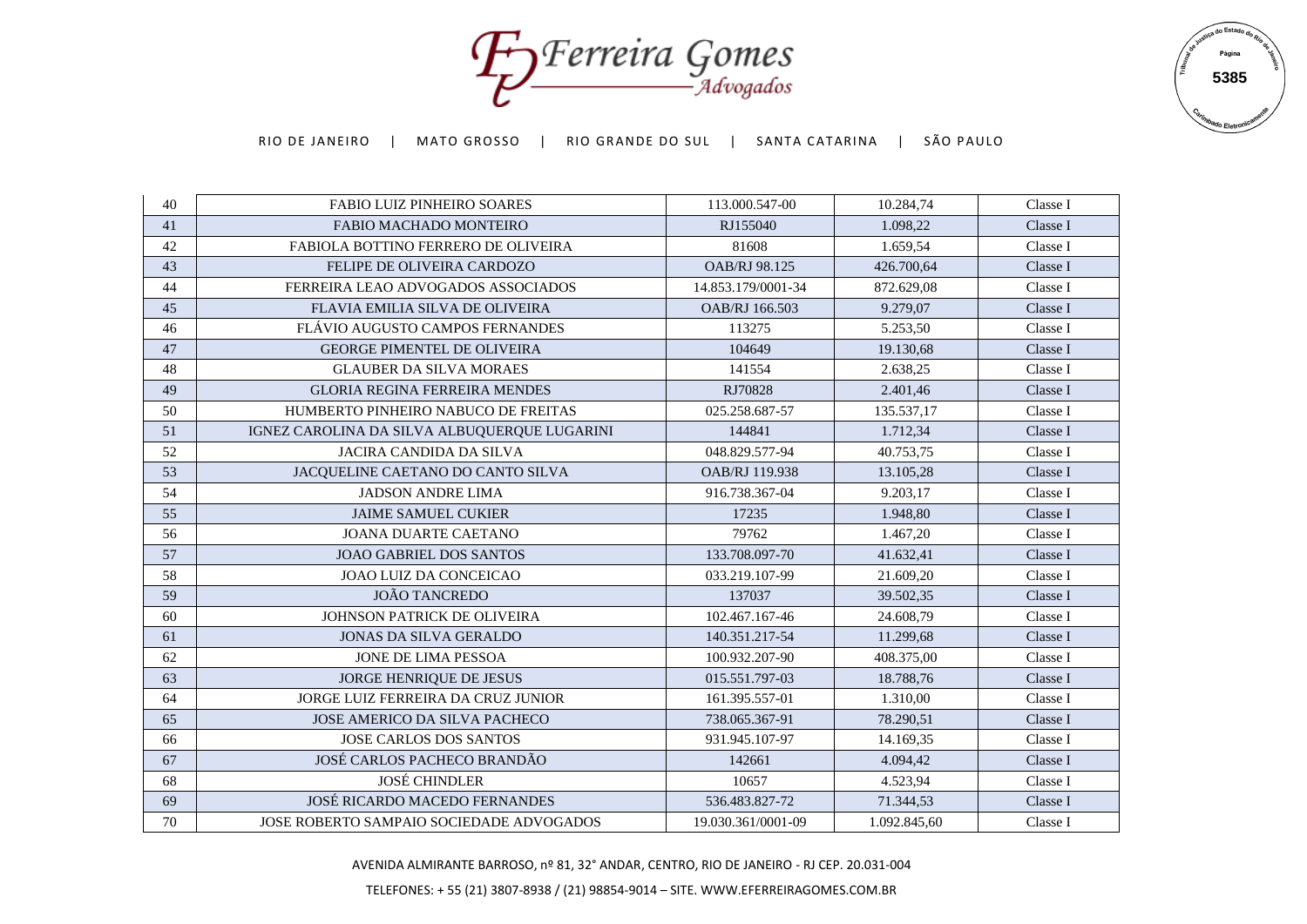Forreira Gomes



| 40 | <b>FABIO LUIZ PINHEIRO SOARES</b>            | 113.000.547-00     | 10.284,74    | Classe I |
|----|----------------------------------------------|--------------------|--------------|----------|
| 41 | FABIO MACHADO MONTEIRO                       | RJ155040           | 1.098,22     | Classe I |
| 42 | <b>FABIOLA BOTTINO FERRERO DE OLIVEIRA</b>   | 81608              | 1.659,54     | Classe I |
| 43 | FELIPE DE OLIVEIRA CARDOZO                   | OAB/RJ 98.125      | 426.700,64   | Classe I |
| 44 | FERREIRA LEAO ADVOGADOS ASSOCIADOS           | 14.853.179/0001-34 | 872.629,08   | Classe I |
| 45 | <b>FLAVIA EMILIA SILVA DE OLIVEIRA</b>       | OAB/RJ 166.503     | 9.279,07     | Classe I |
| 46 | FLÁVIO AUGUSTO CAMPOS FERNANDES              | 113275             | 5.253,50     | Classe I |
| 47 | <b>GEORGE PIMENTEL DE OLIVEIRA</b>           | 104649             | 19.130,68    | Classe I |
| 48 | <b>GLAUBER DA SILVA MORAES</b>               | 141554             | 2.638,25     | Classe I |
| 49 | <b>GLORIA REGINA FERREIRA MENDES</b>         | RJ70828            | 2.401,46     | Classe I |
| 50 | HUMBERTO PINHEIRO NABUCO DE FREITAS          | 025.258.687-57     | 135.537,17   | Classe I |
| 51 | IGNEZ CAROLINA DA SILVA ALBUQUERQUE LUGARINI | 144841             | 1.712,34     | Classe I |
| 52 | <b>JACIRA CANDIDA DA SILVA</b>               | 048.829.577-94     | 40.753.75    | Classe I |
| 53 | JACQUELINE CAETANO DO CANTO SILVA            | OAB/RJ 119.938     | 13.105,28    | Classe I |
| 54 | <b>JADSON ANDRE LIMA</b>                     | 916.738.367-04     | 9.203,17     | Classe I |
| 55 | <b>JAIME SAMUEL CUKIER</b>                   | 17235              | 1.948,80     | Classe I |
| 56 | <b>JOANA DUARTE CAETANO</b>                  | 79762              | 1.467,20     | Classe I |
| 57 | <b>JOAO GABRIEL DOS SANTOS</b>               | 133.708.097-70     | 41.632,41    | Classe I |
| 58 | JOAO LUIZ DA CONCEICAO                       | 033.219.107-99     | 21.609,20    | Classe I |
| 59 | <b>JOÃO TANCREDO</b>                         | 137037             | 39.502,35    | Classe I |
| 60 | <b>JOHNSON PATRICK DE OLIVEIRA</b>           | 102.467.167-46     | 24.608,79    | Classe I |
| 61 | <b>JONAS DA SILVA GERALDO</b>                | 140.351.217-54     | 11.299,68    | Classe I |
| 62 | JONE DE LIMA PESSOA                          | 100.932.207-90     | 408.375,00   | Classe I |
| 63 | JORGE HENRIQUE DE JESUS                      | 015.551.797-03     | 18.788,76    | Classe I |
| 64 | <b>JORGE LUIZ FERREIRA DA CRUZ JUNIOR</b>    | 161.395.557-01     | 1.310,00     | Classe I |
| 65 | <b>JOSE AMERICO DA SILVA PACHECO</b>         | 738.065.367-91     | 78.290,51    | Classe I |
| 66 | <b>JOSE CARLOS DOS SANTOS</b>                | 931.945.107-97     | 14.169,35    | Classe I |
| 67 | JOSÉ CARLOS PACHECO BRANDÃO                  | 142661             | 4.094,42     | Classe I |
| 68 | <b>JOSÉ CHINDLER</b>                         | 10657              | 4.523,94     | Classe I |
| 69 | JOSÉ RICARDO MACEDO FERNANDES                | 536.483.827-72     | 71.344,53    | Classe I |
| 70 | JOSE ROBERTO SAMPAIO SOCIEDADE ADVOGADOS     | 19.030.361/0001-09 | 1.092.845,60 | Classe I |

AVENIDA ALMIRANTE BARROSO, nº 81, 32° ANDAR, CENTRO, RIO DE JANEIRO - RJ CEP. 20.031-004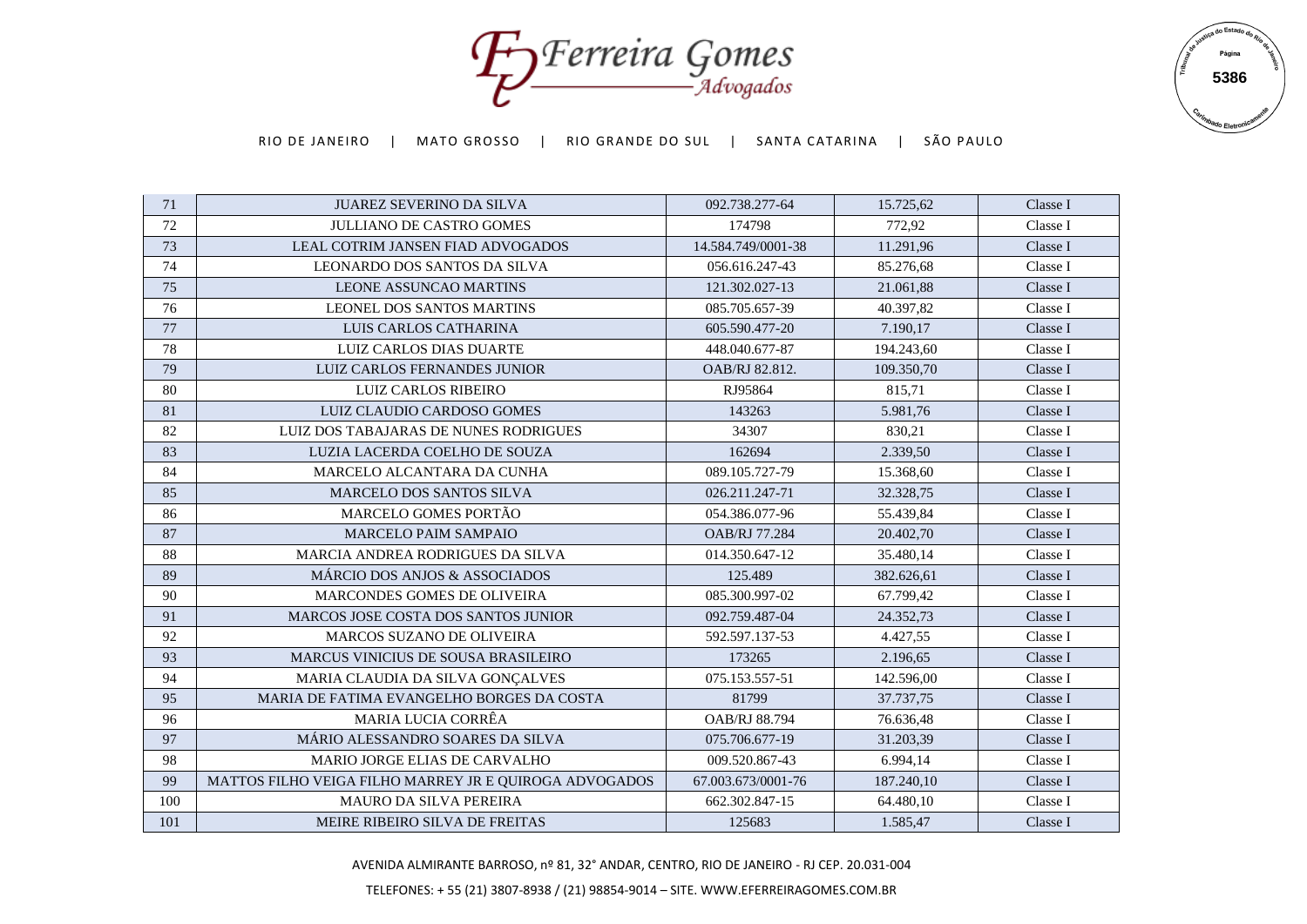Forreira Gomes



| 71  | <b>JUAREZ SEVERINO DA SILVA</b>                        | 092.738.277-64       | 15.725,62  | Classe I |
|-----|--------------------------------------------------------|----------------------|------------|----------|
| 72  | <b>JULLIANO DE CASTRO GOMES</b>                        | 174798               | 772,92     | Classe I |
| 73  | <b>LEAL COTRIM JANSEN FIAD ADVOGADOS</b>               | 14.584.749/0001-38   | 11.291,96  | Classe I |
| 74  | <b>LEONARDO DOS SANTOS DA SILVA</b>                    | 056.616.247-43       | 85.276,68  | Classe I |
| 75  | <b>LEONE ASSUNCAO MARTINS</b>                          | 121.302.027-13       | 21.061,88  | Classe I |
| 76  | <b>LEONEL DOS SANTOS MARTINS</b>                       | 085.705.657-39       | 40.397,82  | Classe I |
| 77  | LUIS CARLOS CATHARINA                                  | 605.590.477-20       | 7.190,17   | Classe I |
| 78  | <b>LUIZ CARLOS DIAS DUARTE</b>                         | 448.040.677-87       | 194.243,60 | Classe I |
| 79  | LUIZ CARLOS FERNANDES JUNIOR                           | OAB/RJ 82.812.       | 109.350.70 | Classe I |
| 80  | <b>LUIZ CARLOS RIBEIRO</b>                             | RJ95864              | 815.71     | Classe I |
| 81  | LUIZ CLAUDIO CARDOSO GOMES                             | 143263               | 5.981,76   | Classe I |
| 82  | LUIZ DOS TABAJARAS DE NUNES RODRIGUES                  | 34307                | 830,21     | Classe I |
| 83  | LUZIA LACERDA COELHO DE SOUZA                          | 162694               | 2.339,50   | Classe I |
| 84  | MARCELO ALCANTARA DA CUNHA                             | 089.105.727-79       | 15.368,60  | Classe I |
| 85  | <b>MARCELO DOS SANTOS SILVA</b>                        | 026.211.247-71       | 32.328,75  | Classe I |
| 86  | MARCELO GOMES PORTÃO                                   | 054.386.077-96       | 55.439,84  | Classe I |
| 87  | <b>MARCELO PAIM SAMPAIO</b>                            | OAB/RJ 77.284        | 20.402,70  | Classe I |
| 88  | MARCIA ANDREA RODRIGUES DA SILVA                       | 014.350.647-12       | 35.480,14  | Classe I |
| 89  | MÁRCIO DOS ANJOS & ASSOCIADOS                          | 125.489              | 382.626,61 | Classe I |
| 90  | MARCONDES GOMES DE OLIVEIRA                            | 085.300.997-02       | 67.799,42  | Classe I |
| 91  | <b>MARCOS JOSE COSTA DOS SANTOS JUNIOR</b>             | 092.759.487-04       | 24.352,73  | Classe I |
| 92  | <b>MARCOS SUZANO DE OLIVEIRA</b>                       | 592.597.137-53       | 4.427,55   | Classe I |
| 93  | MARCUS VINICIUS DE SOUSA BRASILEIRO                    | 173265               | 2.196,65   | Classe I |
| 94  | MARIA CLAUDIA DA SILVA GONÇALVES                       | 075.153.557-51       | 142.596,00 | Classe I |
| 95  | MARIA DE FATIMA EVANGELHO BORGES DA COSTA              | 81799                | 37.737,75  | Classe I |
| 96  | <b>MARIA LUCIA CORRÊA</b>                              | <b>OAB/RJ 88.794</b> | 76.636,48  | Classe I |
| 97  | MÁRIO ALESSANDRO SOARES DA SILVA                       | 075.706.677-19       | 31.203,39  | Classe I |
| 98  | MARIO JORGE ELIAS DE CARVALHO                          | 009.520.867-43       | 6.994,14   | Classe I |
| 99  | MATTOS FILHO VEIGA FILHO MARREY JR E QUIROGA ADVOGADOS | 67.003.673/0001-76   | 187.240,10 | Classe I |
| 100 | <b>MAURO DA SILVA PEREIRA</b>                          | 662.302.847-15       | 64.480,10  | Classe I |
| 101 | MEIRE RIBEIRO SILVA DE FREITAS                         | 125683               | 1.585,47   | Classe I |

AVENIDA ALMIRANTE BARROSO, nº 81, 32° ANDAR, CENTRO, RIO DE JANEIRO - RJ CEP. 20.031-004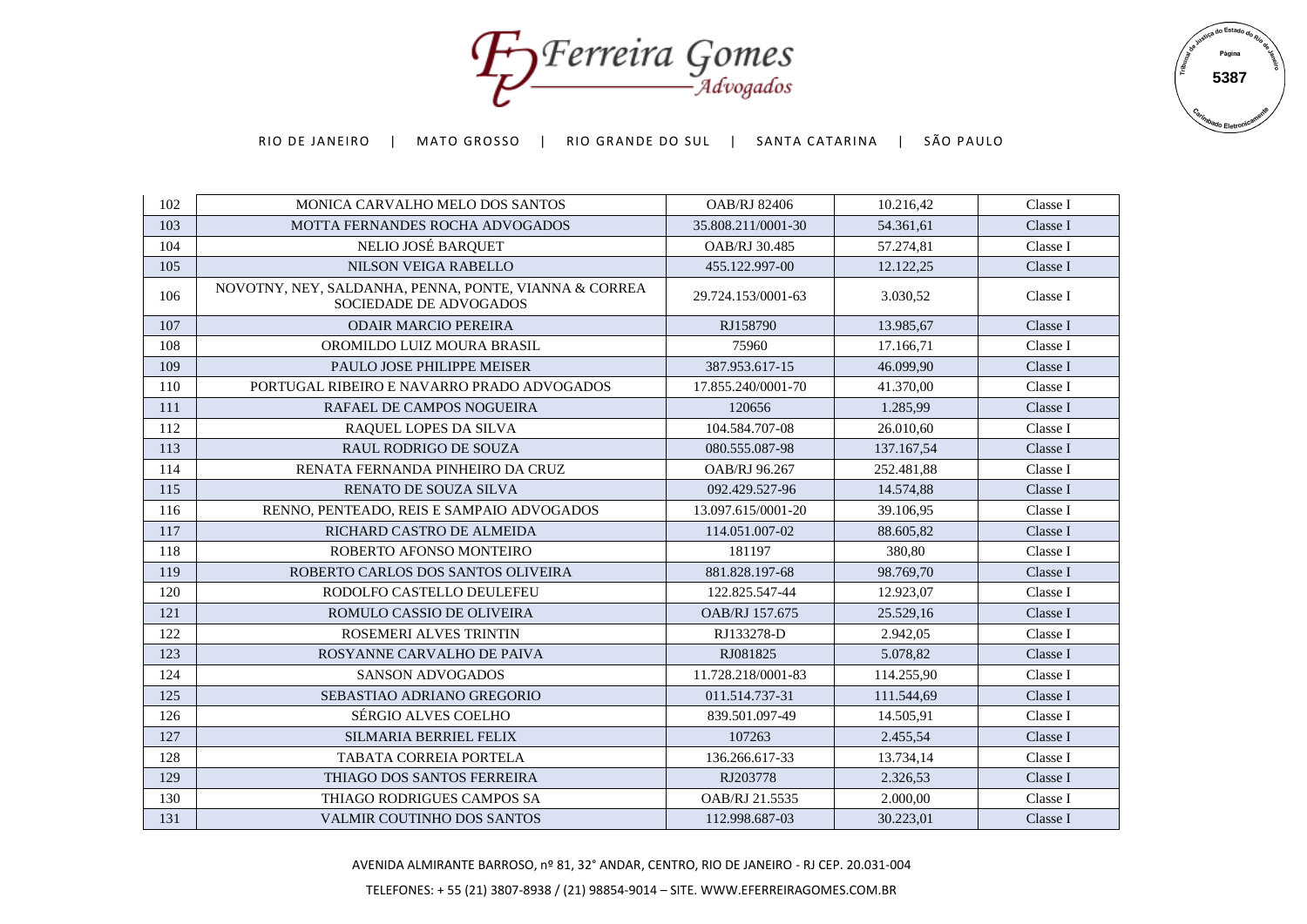Foreira Gomes



| 102 | MONICA CARVALHO MELO DOS SANTOS                                                 | <b>OAB/RJ 82406</b> | 10.216,42  | Classe I |
|-----|---------------------------------------------------------------------------------|---------------------|------------|----------|
| 103 | MOTTA FERNANDES ROCHA ADVOGADOS                                                 | 35.808.211/0001-30  | 54.361.61  | Classe I |
| 104 | NELIO JOSÉ BARQUET                                                              | OAB/RJ 30.485       | 57.274,81  | Classe I |
| 105 | NILSON VEIGA RABELLO                                                            | 455.122.997-00      | 12.122,25  | Classe I |
| 106 | NOVOTNY, NEY, SALDANHA, PENNA, PONTE, VIANNA & CORREA<br>SOCIEDADE DE ADVOGADOS | 29.724.153/0001-63  | 3.030,52   | Classe I |
| 107 | <b>ODAIR MARCIO PEREIRA</b>                                                     | RJ158790            | 13.985,67  | Classe I |
| 108 | OROMILDO LUIZ MOURA BRASIL                                                      | 75960               | 17.166,71  | Classe I |
| 109 | PAULO JOSE PHILIPPE MEISER                                                      | 387.953.617-15      | 46.099,90  | Classe I |
| 110 | PORTUGAL RIBEIRO E NAVARRO PRADO ADVOGADOS                                      | 17.855.240/0001-70  | 41.370,00  | Classe I |
| 111 | RAFAEL DE CAMPOS NOGUEIRA                                                       | 120656              | 1.285,99   | Classe I |
| 112 | RAQUEL LOPES DA SILVA                                                           | 104.584.707-08      | 26.010,60  | Classe I |
| 113 | <b>RAUL RODRIGO DE SOUZA</b>                                                    | 080.555.087-98      | 137.167,54 | Classe I |
| 114 | RENATA FERNANDA PINHEIRO DA CRUZ                                                | OAB/RJ 96.267       | 252.481,88 | Classe I |
| 115 | <b>RENATO DE SOUZA SILVA</b>                                                    | 092.429.527-96      | 14.574,88  | Classe I |
| 116 | RENNO. PENTEADO. REIS E SAMPAIO ADVOGADOS                                       | 13.097.615/0001-20  | 39.106,95  | Classe I |
| 117 | RICHARD CASTRO DE ALMEIDA                                                       | 114.051.007-02      | 88.605,82  | Classe I |
| 118 | ROBERTO AFONSO MONTEIRO                                                         | 181197              | 380.80     | Classe I |
| 119 | ROBERTO CARLOS DOS SANTOS OLIVEIRA                                              | 881.828.197-68      | 98.769,70  | Classe I |
| 120 | RODOLFO CASTELLO DEULEFEU                                                       | 122.825.547-44      | 12.923,07  | Classe I |
| 121 | ROMULO CASSIO DE OLIVEIRA                                                       | OAB/RJ 157.675      | 25.529,16  | Classe I |
| 122 | <b>ROSEMERI ALVES TRINTIN</b>                                                   | RJ133278-D          | 2.942,05   | Classe I |
| 123 | ROSYANNE CARVALHO DE PAIVA                                                      | RJ081825            | 5.078,82   | Classe I |
| 124 | <b>SANSON ADVOGADOS</b>                                                         | 11.728.218/0001-83  | 114.255,90 | Classe I |
| 125 | SEBASTIAO ADRIANO GREGORIO                                                      | 011.514.737-31      | 111.544,69 | Classe I |
| 126 | <b>SÉRGIO ALVES COELHO</b>                                                      | 839.501.097-49      | 14.505,91  | Classe I |
| 127 | SILMARIA BERRIEL FELIX                                                          | 107263              | 2.455.54   | Classe I |
| 128 | <b>TABATA CORREIA PORTELA</b>                                                   | 136.266.617-33      | 13.734,14  | Classe I |
| 129 | THIAGO DOS SANTOS FERREIRA                                                      | RJ203778            | 2.326,53   | Classe I |
| 130 | THIAGO RODRIGUES CAMPOS SA                                                      | OAB/RJ 21.5535      | 2.000,00   | Classe I |
| 131 | VALMIR COUTINHO DOS SANTOS                                                      | 112.998.687-03      | 30.223,01  | Classe I |

AVENIDA ALMIRANTE BARROSO, nº 81, 32° ANDAR, CENTRO, RIO DE JANEIRO - RJ CEP. 20.031-004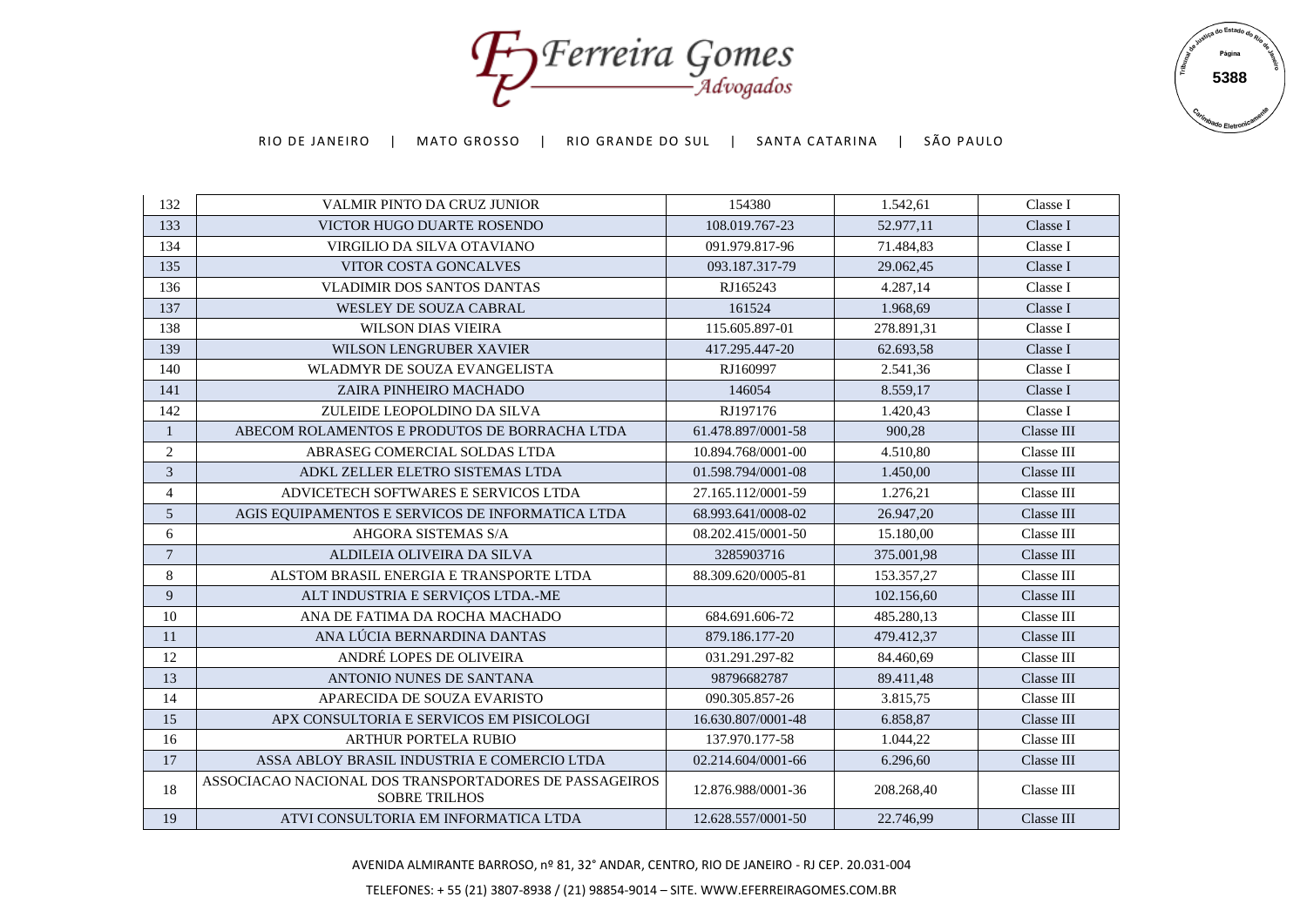Foreira Gomes



| 132            | <b>VALMIR PINTO DA CRUZ JUNIOR</b>                                             | 154380             | 1.542,61   | Classe I   |
|----------------|--------------------------------------------------------------------------------|--------------------|------------|------------|
| 133            | VICTOR HUGO DUARTE ROSENDO                                                     | 108.019.767-23     | 52.977,11  | Classe I   |
| 134            | VIRGILIO DA SILVA OTAVIANO                                                     | 091.979.817-96     | 71.484,83  | Classe I   |
| 135            | VITOR COSTA GONCALVES                                                          | 093.187.317-79     | 29.062,45  | Classe I   |
| 136            | <b>VLADIMIR DOS SANTOS DANTAS</b>                                              | RJ165243           | 4.287,14   | Classe I   |
| 137            | <b>WESLEY DE SOUZA CABRAL</b>                                                  | 161524             | 1.968,69   | Classe I   |
| 138            | <b>WILSON DIAS VIEIRA</b>                                                      | 115.605.897-01     | 278.891,31 | Classe I   |
| 139            | <b>WILSON LENGRUBER XAVIER</b>                                                 | 417.295.447-20     | 62.693,58  | Classe I   |
| 140            | WLADMYR DE SOUZA EVANGELISTA                                                   | RJ160997           | 2.541,36   | Classe I   |
| 141            | ZAIRA PINHEIRO MACHADO                                                         | 146054             | 8.559.17   | Classe I   |
| 142            | ZULEIDE LEOPOLDINO DA SILVA                                                    | RJ197176           | 1.420,43   | Classe I   |
| $\mathbf{1}$   | ABECOM ROLAMENTOS E PRODUTOS DE BORRACHA LTDA                                  | 61.478.897/0001-58 | 900,28     | Classe III |
| $\sqrt{2}$     | ABRASEG COMERCIAL SOLDAS LTDA                                                  | 10.894.768/0001-00 | 4.510,80   | Classe III |
| 3              | ADKL ZELLER ELETRO SISTEMAS LTDA                                               | 01.598.794/0001-08 | 1.450,00   | Classe III |
| $\overline{4}$ | ADVICETECH SOFTWARES E SERVICOS LTDA                                           | 27.165.112/0001-59 | 1.276,21   | Classe III |
| $\mathfrak{S}$ | AGIS EQUIPAMENTOS E SERVICOS DE INFORMATICA LTDA                               | 68.993.641/0008-02 | 26.947,20  | Classe III |
| 6              | AHGORA SISTEMAS S/A                                                            | 08.202.415/0001-50 | 15.180,00  | Classe III |
| $\overline{7}$ | ALDILEIA OLIVEIRA DA SILVA                                                     | 3285903716         | 375.001,98 | Classe III |
| $\,8\,$        | ALSTOM BRASIL ENERGIA E TRANSPORTE LTDA                                        | 88.309.620/0005-81 | 153.357,27 | Classe III |
| 9              | ALT INDUSTRIA E SERVIÇOS LTDA.-ME                                              |                    | 102.156,60 | Classe III |
| 10             | ANA DE FATIMA DA ROCHA MACHADO                                                 | 684.691.606-72     | 485.280,13 | Classe III |
| 11             | ANA LÚCIA BERNARDINA DANTAS                                                    | 879.186.177-20     | 479.412,37 | Classe III |
| 12             | ANDRÉ LOPES DE OLIVEIRA                                                        | 031.291.297-82     | 84.460,69  | Classe III |
| 13             | ANTONIO NUNES DE SANTANA                                                       | 98796682787        | 89.411,48  | Classe III |
| 14             | APARECIDA DE SOUZA EVARISTO                                                    | 090.305.857-26     | 3.815,75   | Classe III |
| 15             | APX CONSULTORIA E SERVICOS EM PISICOLOGI                                       | 16.630.807/0001-48 | 6.858,87   | Classe III |
| 16             | <b>ARTHUR PORTELA RUBIO</b>                                                    | 137.970.177-58     | 1.044,22   | Classe III |
| 17             | ASSA ABLOY BRASIL INDUSTRIA E COMERCIO LTDA                                    | 02.214.604/0001-66 | 6.296,60   | Classe III |
| 18             | ASSOCIACAO NACIONAL DOS TRANSPORTADORES DE PASSAGEIROS<br><b>SOBRE TRILHOS</b> | 12.876.988/0001-36 | 208.268,40 | Classe III |
| 19             | ATVI CONSULTORIA EM INFORMATICA LTDA                                           | 12.628.557/0001-50 | 22.746,99  | Classe III |

AVENIDA ALMIRANTE BARROSO, nº 81, 32° ANDAR, CENTRO, RIO DE JANEIRO - RJ CEP. 20.031-004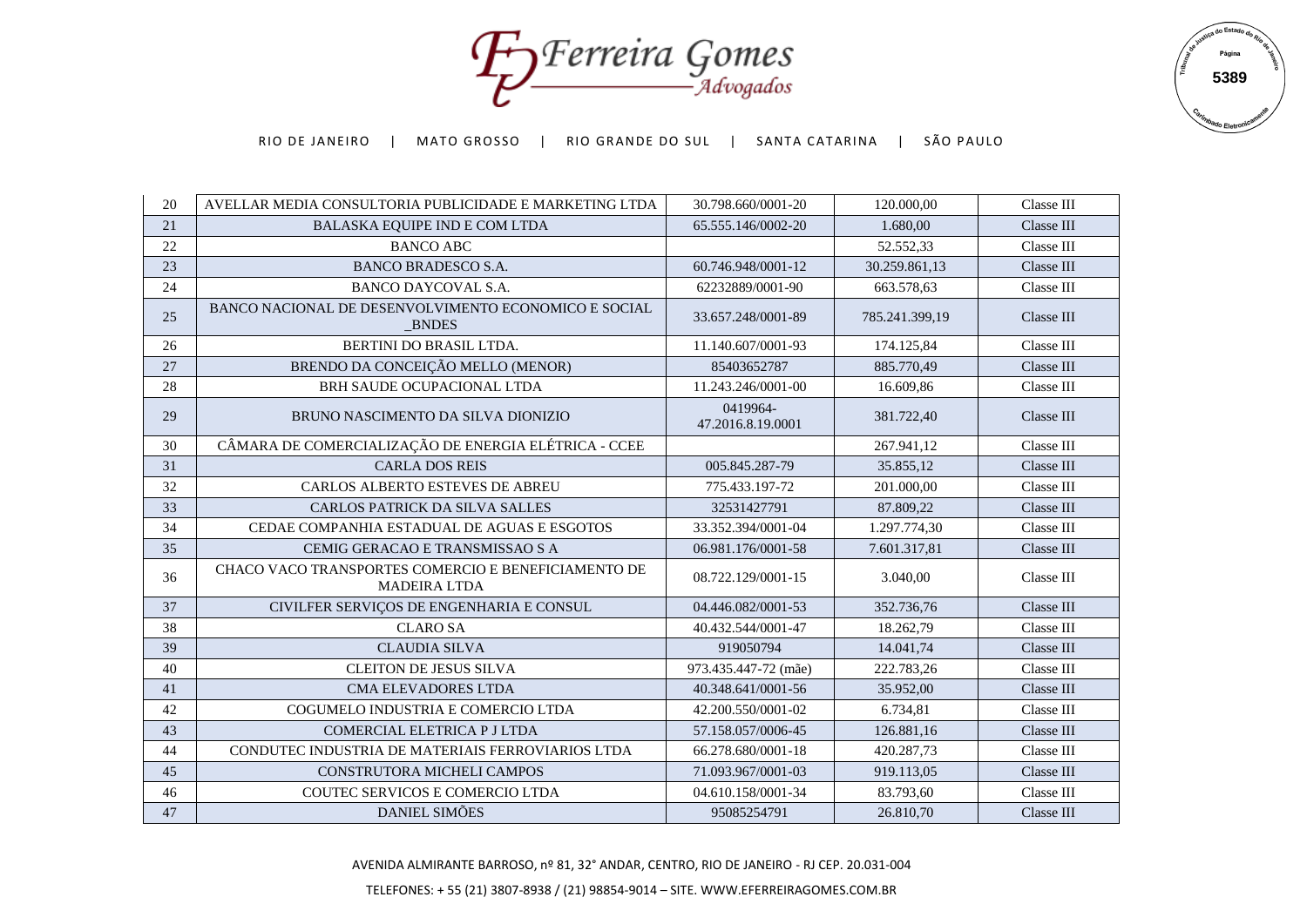Foreira Gomes



| 20     | AVELLAR MEDIA CONSULTORIA PUBLICIDADE E MARKETING LTDA                     | 30.798.660/0001-20            | 120.000.00     | Classe III |
|--------|----------------------------------------------------------------------------|-------------------------------|----------------|------------|
| 21     | BALASKA EQUIPE IND E COM LTDA                                              | 65.555.146/0002-20            | 1.680,00       | Classe III |
| 22     | <b>BANCO ABC</b>                                                           |                               | 52.552,33      | Classe III |
| 23     | <b>BANCO BRADESCO S.A.</b>                                                 | 60.746.948/0001-12            | 30.259.861,13  | Classe III |
| 24     | BANCO DAYCOVAL S.A.                                                        | 62232889/0001-90              | 663.578.63     | Classe III |
| 25     | BANCO NACIONAL DE DESENVOLVIMENTO ECONOMICO E SOCIAL<br>_BNDES             | 33.657.248/0001-89            | 785.241.399,19 | Classe III |
| 26     | BERTINI DO BRASIL LTDA.                                                    | 11.140.607/0001-93            | 174.125,84     | Classe III |
| 27     | BRENDO DA CONCEIÇÃO MELLO (MENOR)                                          | 85403652787                   | 885.770,49     | Classe III |
| 28     | BRH SAUDE OCUPACIONAL LTDA                                                 | 11.243.246/0001-00            | 16.609,86      | Classe III |
| 29     | BRUNO NASCIMENTO DA SILVA DIONIZIO                                         | 0419964-<br>47.2016.8.19.0001 | 381.722,40     | Classe III |
| 30     | CÂMARA DE COMERCIALIZAÇÃO DE ENERGIA ELÉTRICA - CCEE                       |                               | 267.941,12     | Classe III |
| 31     | <b>CARLA DOS REIS</b>                                                      | 005.845.287-79                | 35.855,12      | Classe III |
| 32     | <b>CARLOS ALBERTO ESTEVES DE ABREU</b>                                     | 775.433.197-72                | 201.000,00     | Classe III |
| 33     | <b>CARLOS PATRICK DA SILVA SALLES</b>                                      | 32531427791                   | 87.809,22      | Classe III |
| 34     | CEDAE COMPANHIA ESTADUAL DE AGUAS E ESGOTOS                                | 33.352.394/0001-04            | 1.297.774,30   | Classe III |
| 35     | CEMIG GERACAO E TRANSMISSAO S A                                            | 06.981.176/0001-58            | 7.601.317,81   | Classe III |
| 36     | CHACO VACO TRANSPORTES COMERCIO E BENEFICIAMENTO DE<br><b>MADEIRA LTDA</b> | 08.722.129/0001-15            | 3.040,00       | Classe III |
| 37     | CIVILFER SERVIÇOS DE ENGENHARIA E CONSUL                                   | 04.446.082/0001-53            | 352.736,76     | Classe III |
| 38     | <b>CLARO SA</b>                                                            | 40.432.544/0001-47            | 18.262,79      | Classe III |
| 39     | <b>CLAUDIA SILVA</b>                                                       | 919050794                     | 14.041,74      | Classe III |
| 40     | <b>CLEITON DE JESUS SILVA</b>                                              | 973.435.447-72 (mãe)          | 222.783.26     | Classe III |
| 41     | <b>CMA ELEVADORES LTDA</b>                                                 | 40.348.641/0001-56            | 35.952,00      | Classe III |
| 42     | COGUMELO INDUSTRIA E COMERCIO LTDA                                         | 42.200.550/0001-02            | 6.734,81       | Classe III |
| 43     | COMERCIAL ELETRICA P J LTDA                                                | 57.158.057/0006-45            | 126.881,16     | Classe III |
| 44     | CONDUTEC INDUSTRIA DE MATERIAIS FERROVIARIOS LTDA                          | 66.278.680/0001-18            | 420.287,73     | Classe III |
| 45     | CONSTRUTORA MICHELI CAMPOS                                                 | 71.093.967/0001-03            | 919.113,05     | Classe III |
| 46     | COUTEC SERVICOS E COMERCIO LTDA                                            | 04.610.158/0001-34            | 83.793,60      | Classe III |
| $47\,$ | DANIEL SIMÕES                                                              | 95085254791                   | 26.810,70      | Classe III |

AVENIDA ALMIRANTE BARROSO, nº 81, 32° ANDAR, CENTRO, RIO DE JANEIRO - RJ CEP. 20.031-004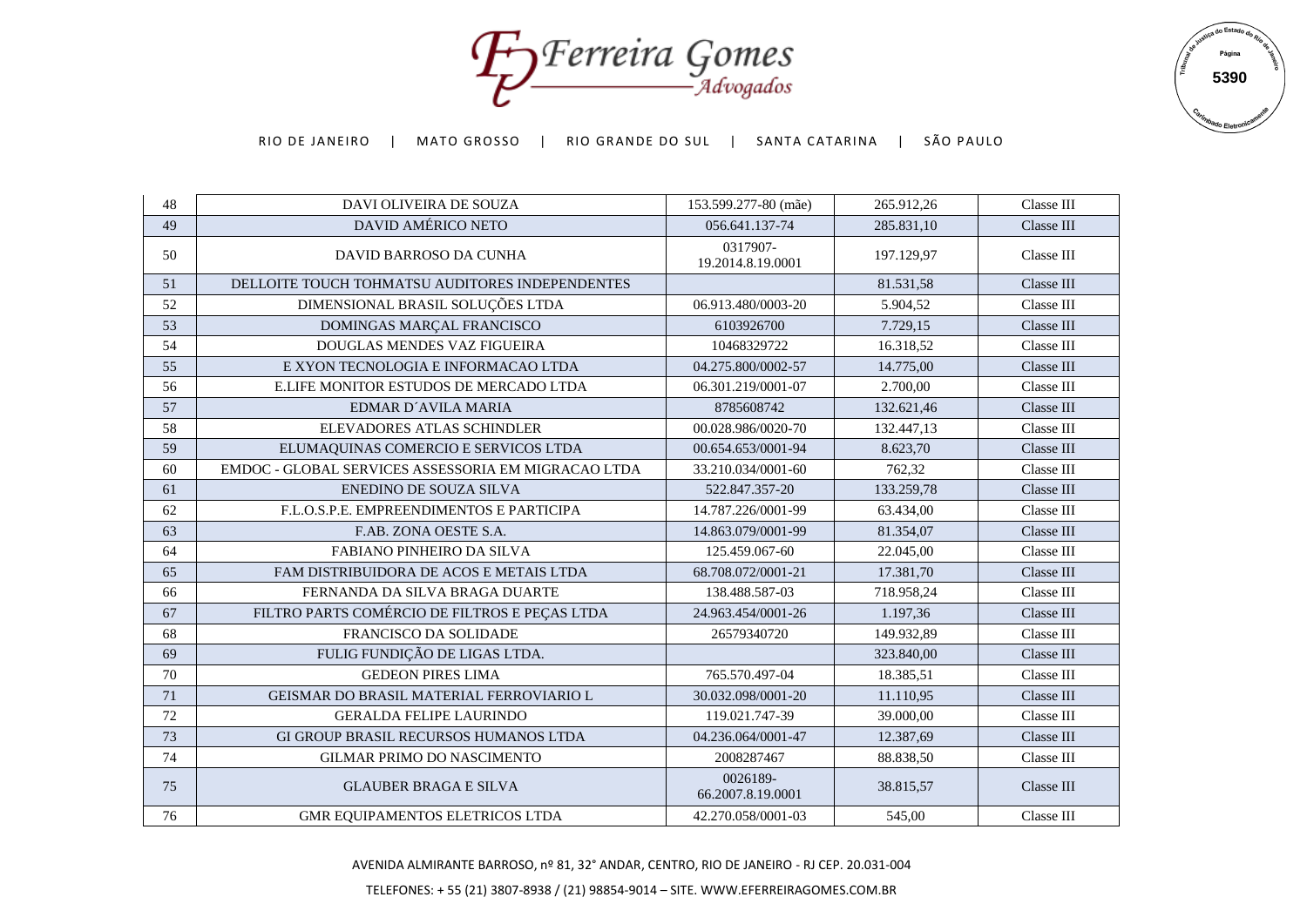Foreira Gomes



| 48 | DAVI OLIVEIRA DE SOUZA                              | 153.599.277-80 (mãe)          | 265.912.26 | Classe III |
|----|-----------------------------------------------------|-------------------------------|------------|------------|
| 49 | DAVID AMÉRICO NETO                                  | 056.641.137-74                | 285.831,10 | Classe III |
| 50 | DAVID BARROSO DA CUNHA                              | 0317907-<br>19.2014.8.19.0001 | 197.129,97 | Classe III |
| 51 | DELLOITE TOUCH TOHMATSU AUDITORES INDEPENDENTES     |                               | 81.531,58  | Classe III |
| 52 | DIMENSIONAL BRASIL SOLUÇÕES LTDA                    | 06.913.480/0003-20            | 5.904,52   | Classe III |
| 53 | DOMINGAS MARÇAL FRANCISCO                           | 6103926700                    | 7.729,15   | Classe III |
| 54 | <b>DOUGLAS MENDES VAZ FIGUEIRA</b>                  | 10468329722                   | 16.318,52  | Classe III |
| 55 | E XYON TECNOLOGIA E INFORMACAO LTDA                 | 04.275.800/0002-57            | 14.775,00  | Classe III |
| 56 | E.LIFE MONITOR ESTUDOS DE MERCADO LTDA              | 06.301.219/0001-07            | 2.700,00   | Classe III |
| 57 | EDMAR D'AVILA MARIA                                 | 8785608742                    | 132.621,46 | Classe III |
| 58 | ELEVADORES ATLAS SCHINDLER                          | 00.028.986/0020-70            | 132.447,13 | Classe III |
| 59 | ELUMAQUINAS COMERCIO E SERVICOS LTDA                | 00.654.653/0001-94            | 8.623.70   | Classe III |
| 60 | EMDOC - GLOBAL SERVICES ASSESSORIA EM MIGRACAO LTDA | 33.210.034/0001-60            | 762,32     | Classe III |
| 61 | ENEDINO DE SOUZA SILVA                              | 522.847.357-20                | 133.259,78 | Classe III |
| 62 | F.L.O.S.P.E. EMPREENDIMENTOS E PARTICIPA            | 14.787.226/0001-99            | 63.434,00  | Classe III |
| 63 | F.AB. ZONA OESTE S.A.                               | 14.863.079/0001-99            | 81.354,07  | Classe III |
| 64 | <b>FABIANO PINHEIRO DA SILVA</b>                    | 125.459.067-60                | 22.045,00  | Classe III |
| 65 | FAM DISTRIBUIDORA DE ACOS E METAIS LTDA             | 68.708.072/0001-21            | 17.381,70  | Classe III |
| 66 | FERNANDA DA SILVA BRAGA DUARTE                      | 138.488.587-03                | 718.958,24 | Classe III |
| 67 | FILTRO PARTS COMÉRCIO DE FILTROS E PEÇAS LTDA       | 24.963.454/0001-26            | 1.197,36   | Classe III |
| 68 | <b>FRANCISCO DA SOLIDADE</b>                        | 26579340720                   | 149.932,89 | Classe III |
| 69 | FULIG FUNDIÇÃO DE LIGAS LTDA.                       |                               | 323.840,00 | Classe III |
| 70 | <b>GEDEON PIRES LIMA</b>                            | 765.570.497-04                | 18.385,51  | Classe III |
| 71 | GEISMAR DO BRASIL MATERIAL FERROVIARIO L            | 30.032.098/0001-20            | 11.110,95  | Classe III |
| 72 | <b>GERALDA FELIPE LAURINDO</b>                      | 119.021.747-39                | 39.000,00  | Classe III |
| 73 | <b>GI GROUP BRASIL RECURSOS HUMANOS LTDA</b>        | 04.236.064/0001-47            | 12.387,69  | Classe III |
| 74 | <b>GILMAR PRIMO DO NASCIMENTO</b>                   | 2008287467                    | 88.838,50  | Classe III |
| 75 | <b>GLAUBER BRAGA E SILVA</b>                        | 0026189-<br>66.2007.8.19.0001 | 38.815,57  | Classe III |
| 76 | GMR EQUIPAMENTOS ELETRICOS LTDA                     | 42.270.058/0001-03            | 545,00     | Classe III |

AVENIDA ALMIRANTE BARROSO, nº 81, 32° ANDAR, CENTRO, RIO DE JANEIRO - RJ CEP. 20.031-004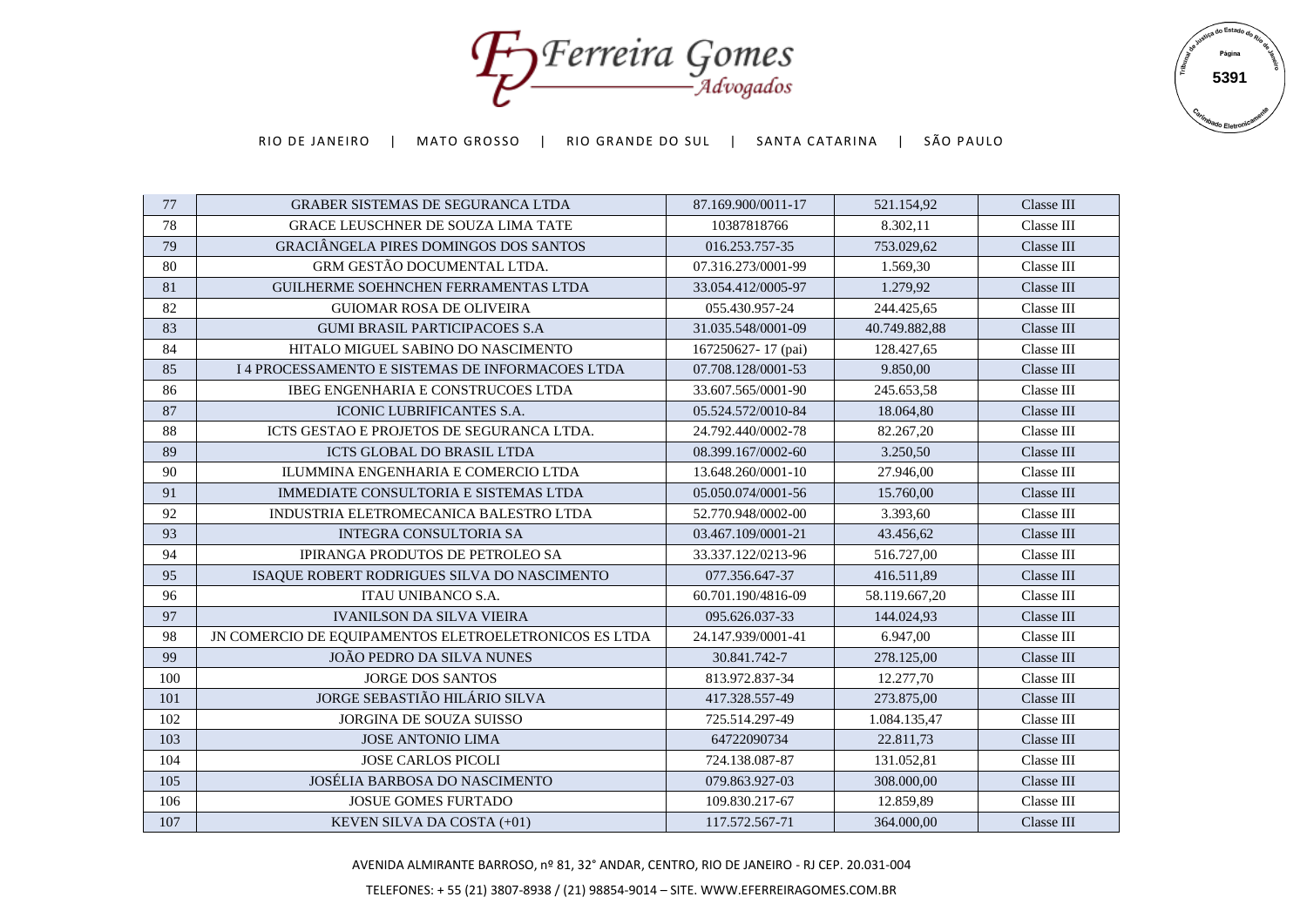Forreira Gomes



| 77  | <b>GRABER SISTEMAS DE SEGURANCA LTDA</b>              | 87.169.900/0011-17 | 521.154,92    | Classe III |
|-----|-------------------------------------------------------|--------------------|---------------|------------|
| 78  | <b>GRACE LEUSCHNER DE SOUZA LIMA TATE</b>             | 10387818766        | 8.302,11      | Classe III |
| 79  | <b>GRACIÂNGELA PIRES DOMINGOS DOS SANTOS</b>          | 016.253.757-35     | 753.029,62    | Classe III |
| 80  | GRM GESTÃO DOCUMENTAL LTDA.                           | 07.316.273/0001-99 | 1.569,30      | Classe III |
| 81  | GUILHERME SOEHNCHEN FERRAMENTAS LTDA                  | 33.054.412/0005-97 | 1.279,92      | Classe III |
| 82  | <b>GUIOMAR ROSA DE OLIVEIRA</b>                       | 055.430.957-24     | 244.425,65    | Classe III |
| 83  | <b>GUMI BRASIL PARTICIPACOES S.A.</b>                 | 31.035.548/0001-09 | 40.749.882,88 | Classe III |
| 84  | HITALO MIGUEL SABINO DO NASCIMENTO                    | 167250627-17 (pai) | 128.427,65    | Classe III |
| 85  | I 4 PROCESSAMENTO E SISTEMAS DE INFORMACOES LTDA      | 07.708.128/0001-53 | 9.850,00      | Classe III |
| 86  | <b>IBEG ENGENHARIA E CONSTRUCOES LTDA</b>             | 33.607.565/0001-90 | 245.653,58    | Classe III |
| 87  | ICONIC LUBRIFICANTES S.A.                             | 05.524.572/0010-84 | 18.064,80     | Classe III |
| 88  | ICTS GESTAO E PROJETOS DE SEGURANCA LTDA.             | 24.792.440/0002-78 | 82.267,20     | Classe III |
| 89  | <b>ICTS GLOBAL DO BRASIL LTDA</b>                     | 08.399.167/0002-60 | 3.250,50      | Classe III |
| 90  | ILUMMINA ENGENHARIA E COMERCIO LTDA                   | 13.648.260/0001-10 | 27.946.00     | Classe III |
| 91  | IMMEDIATE CONSULTORIA E SISTEMAS LTDA                 | 05.050.074/0001-56 | 15.760,00     | Classe III |
| 92  | INDUSTRIA ELETROMECANICA BALESTRO LTDA                | 52.770.948/0002-00 | 3.393,60      | Classe III |
| 93  | <b>INTEGRA CONSULTORIA SA</b>                         | 03.467.109/0001-21 | 43.456,62     | Classe III |
| 94  | <b>IPIRANGA PRODUTOS DE PETROLEO SA</b>               | 33.337.122/0213-96 | 516.727,00    | Classe III |
| 95  | ISAQUE ROBERT RODRIGUES SILVA DO NASCIMENTO           | 077.356.647-37     | 416.511,89    | Classe III |
| 96  | ITAU UNIBANCO S.A.                                    | 60.701.190/4816-09 | 58.119.667,20 | Classe III |
| 97  | <b>IVANILSON DA SILVA VIEIRA</b>                      | 095.626.037-33     | 144.024,93    | Classe III |
| 98  | JN COMERCIO DE EQUIPAMENTOS ELETROELETRONICOS ES LTDA | 24.147.939/0001-41 | 6.947,00      | Classe III |
| 99  | JOÃO PEDRO DA SILVA NUNES                             | 30.841.742-7       | 278.125.00    | Classe III |
| 100 | <b>JORGE DOS SANTOS</b>                               | 813.972.837-34     | 12.277,70     | Classe III |
| 101 | JORGE SEBASTIÃO HILÁRIO SILVA                         | 417.328.557-49     | 273.875,00    | Classe III |
| 102 | <b>JORGINA DE SOUZA SUISSO</b>                        | 725.514.297-49     | 1.084.135,47  | Classe III |
| 103 | <b>JOSE ANTONIO LIMA</b>                              | 64722090734        | 22.811,73     | Classe III |
| 104 | <b>JOSE CARLOS PICOLI</b>                             | 724.138.087-87     | 131.052,81    | Classe III |
| 105 | <b>JOSÉLIA BARBOSA DO NASCIMENTO</b>                  | 079.863.927-03     | 308.000,00    | Classe III |
| 106 | <b>JOSUE GOMES FURTADO</b>                            | 109.830.217-67     | 12.859,89     | Classe III |
| 107 | KEVEN SILVA DA COSTA (+01)                            | 117.572.567-71     | 364.000,00    | Classe III |

AVENIDA ALMIRANTE BARROSO, nº 81, 32° ANDAR, CENTRO, RIO DE JANEIRO - RJ CEP. 20.031-004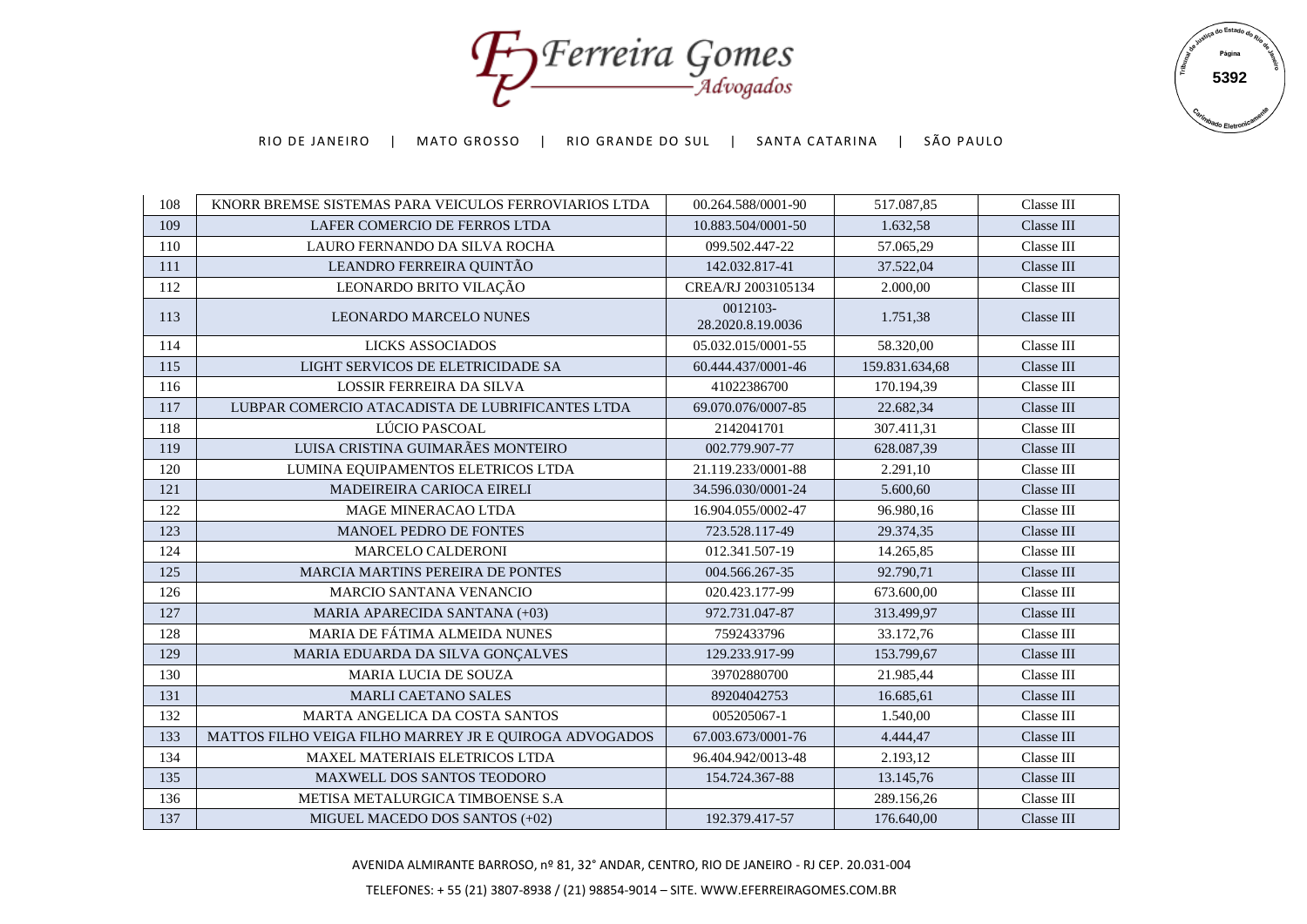Foreira Gomes



| 108 | KNORR BREMSE SISTEMAS PARA VEICULOS FERROVIARIOS LTDA  | 00.264.588/0001-90            | 517.087,85     | Classe III |
|-----|--------------------------------------------------------|-------------------------------|----------------|------------|
| 109 | LAFER COMERCIO DE FERROS LTDA                          | 10.883.504/0001-50            | 1.632,58       | Classe III |
| 110 | LAURO FERNANDO DA SILVA ROCHA                          | 099.502.447-22                | 57.065,29      | Classe III |
| 111 | LEANDRO FERREIRA QUINTÃO                               | 142.032.817-41                | 37.522,04      | Classe III |
| 112 | LEONARDO BRITO VILAÇÃO                                 | CREA/RJ 2003105134            | 2.000,00       | Classe III |
| 113 | <b>LEONARDO MARCELO NUNES</b>                          | 0012103-<br>28.2020.8.19.0036 | 1.751,38       | Classe III |
| 114 | LICKS ASSOCIADOS                                       | 05.032.015/0001-55            | 58.320,00      | Classe III |
| 115 | LIGHT SERVICOS DE ELETRICIDADE SA                      | 60.444.437/0001-46            | 159.831.634,68 | Classe III |
| 116 | <b>LOSSIR FERREIRA DA SILVA</b>                        | 41022386700                   | 170.194.39     | Classe III |
| 117 | LUBPAR COMERCIO ATACADISTA DE LUBRIFICANTES LTDA       | 69.070.076/0007-85            | 22.682,34      | Classe III |
| 118 | LÚCIO PASCOAL                                          | 2142041701                    | 307.411,31     | Classe III |
| 119 | LUISA CRISTINA GUIMARÃES MONTEIRO                      | 002.779.907-77                | 628.087.39     | Classe III |
| 120 | LUMINA EQUIPAMENTOS ELETRICOS LTDA                     | 21.119.233/0001-88            | 2.291,10       | Classe III |
| 121 | MADEIREIRA CARIOCA EIRELI                              | 34.596.030/0001-24            | 5.600,60       | Classe III |
| 122 | <b>MAGE MINERACAO LTDA</b>                             | 16.904.055/0002-47            | 96.980,16      | Classe III |
| 123 | MANOEL PEDRO DE FONTES                                 | 723.528.117-49                | 29.374,35      | Classe III |
| 124 | <b>MARCELO CALDERONI</b>                               | 012.341.507-19                | 14.265,85      | Classe III |
| 125 | MARCIA MARTINS PEREIRA DE PONTES                       | 004.566.267-35                | 92.790,71      | Classe III |
| 126 | <b>MARCIO SANTANA VENANCIO</b>                         | 020.423.177-99                | 673.600,00     | Classe III |
| 127 | MARIA APARECIDA SANTANA (+03)                          | 972.731.047-87                | 313.499,97     | Classe III |
| 128 | MARIA DE FÁTIMA ALMEIDA NUNES                          | 7592433796                    | 33.172,76      | Classe III |
| 129 | MARIA EDUARDA DA SILVA GONÇALVES                       | 129.233.917-99                | 153.799,67     | Classe III |
| 130 | MARIA LUCIA DE SOUZA                                   | 39702880700                   | 21.985,44      | Classe III |
| 131 | MARLI CAETANO SALES                                    | 89204042753                   | 16.685,61      | Classe III |
| 132 | MARTA ANGELICA DA COSTA SANTOS                         | 005205067-1                   | 1.540,00       | Classe III |
| 133 | MATTOS FILHO VEIGA FILHO MARREY JR E QUIROGA ADVOGADOS | 67.003.673/0001-76            | 4.444,47       | Classe III |
| 134 | MAXEL MATERIAIS ELETRICOS LTDA                         | 96.404.942/0013-48            | 2.193,12       | Classe III |
| 135 | <b>MAXWELL DOS SANTOS TEODORO</b>                      | 154.724.367-88                | 13.145,76      | Classe III |
| 136 | METISA METALURGICA TIMBOENSE S.A                       |                               | 289.156,26     | Classe III |
| 137 | MIGUEL MACEDO DOS SANTOS (+02)                         | 192.379.417-57                | 176.640,00     | Classe III |

AVENIDA ALMIRANTE BARROSO, nº 81, 32° ANDAR, CENTRO, RIO DE JANEIRO - RJ CEP. 20.031-004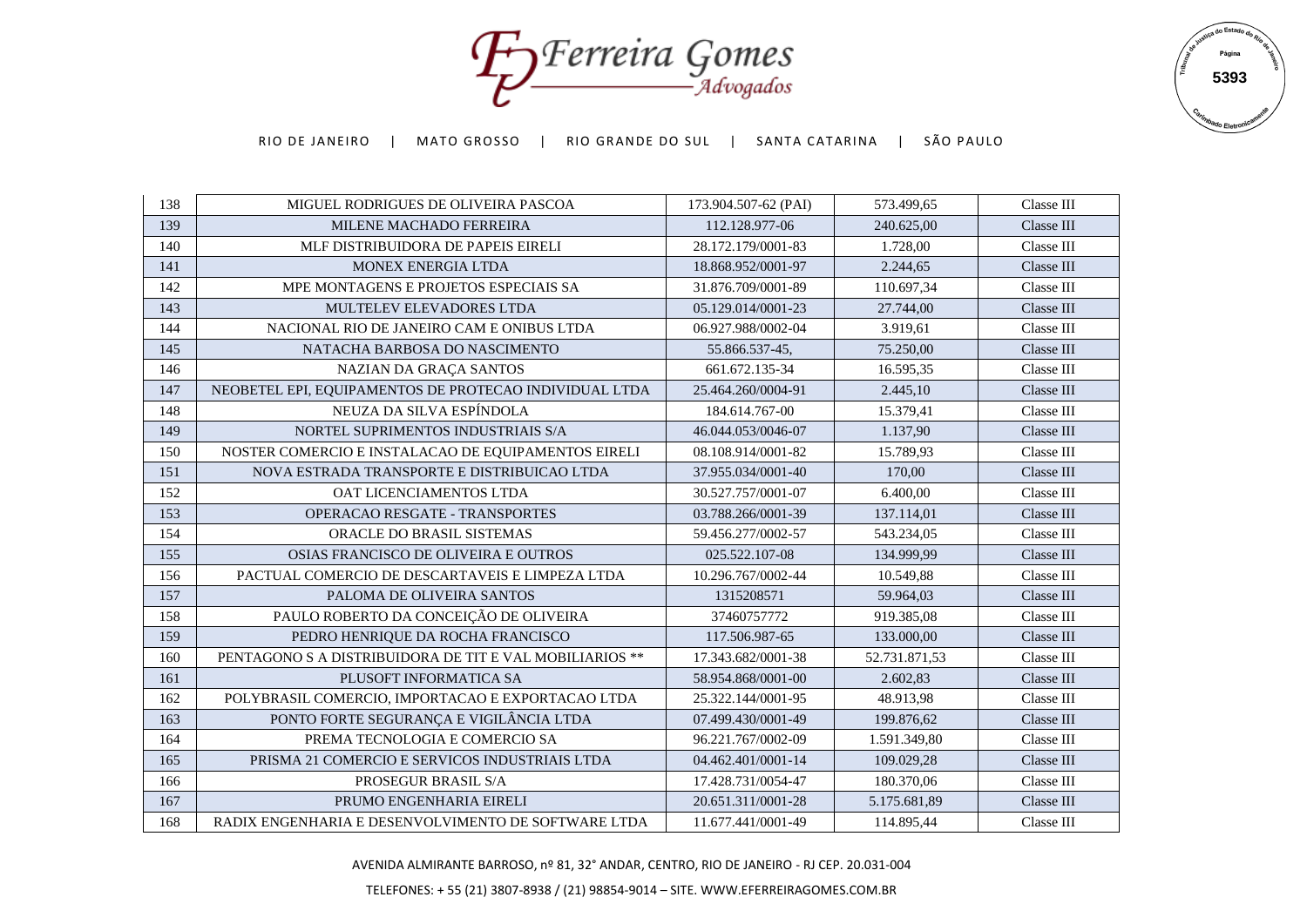Forreira Gomes



| 138 | MIGUEL RODRIGUES DE OLIVEIRA PASCOA                     | 173.904.507-62 (PAI) | 573.499,65    | Classe III |
|-----|---------------------------------------------------------|----------------------|---------------|------------|
| 139 | MILENE MACHADO FERREIRA                                 | 112.128.977-06       | 240.625,00    | Classe III |
| 140 | MLF DISTRIBUIDORA DE PAPEIS EIRELI                      | 28.172.179/0001-83   | 1.728,00      | Classe III |
| 141 | <b>MONEX ENERGIA LTDA</b>                               | 18.868.952/0001-97   | 2.244,65      | Classe III |
| 142 | MPE MONTAGENS E PROJETOS ESPECIAIS SA                   | 31.876.709/0001-89   | 110.697,34    | Classe III |
| 143 | MULTELEV ELEVADORES LTDA                                | 05.129.014/0001-23   | 27.744,00     | Classe III |
| 144 | NACIONAL RIO DE JANEIRO CAM E ONIBUS LTDA               | 06.927.988/0002-04   | 3.919,61      | Classe III |
| 145 | NATACHA BARBOSA DO NASCIMENTO                           | 55.866.537-45,       | 75.250,00     | Classe III |
| 146 | NAZIAN DA GRAÇA SANTOS                                  | 661.672.135-34       | 16.595,35     | Classe III |
| 147 | NEOBETEL EPI, EQUIPAMENTOS DE PROTECAO INDIVIDUAL LTDA  | 25.464.260/0004-91   | 2.445,10      | Classe III |
| 148 | NEUZA DA SILVA ESPÍNDOLA                                | 184.614.767-00       | 15.379,41     | Classe III |
| 149 | NORTEL SUPRIMENTOS INDUSTRIAIS S/A                      | 46.044.053/0046-07   | 1.137,90      | Classe III |
| 150 | NOSTER COMERCIO E INSTALACAO DE EQUIPAMENTOS EIRELI     | 08.108.914/0001-82   | 15.789,93     | Classe III |
| 151 | NOVA ESTRADA TRANSPORTE E DISTRIBUICAO LTDA             | 37.955.034/0001-40   | 170,00        | Classe III |
| 152 | OAT LICENCIAMENTOS LTDA                                 | 30.527.757/0001-07   | 6.400,00      | Classe III |
| 153 | <b>OPERACAO RESGATE - TRANSPORTES</b>                   | 03.788.266/0001-39   | 137.114,01    | Classe III |
| 154 | ORACLE DO BRASIL SISTEMAS                               | 59.456.277/0002-57   | 543.234,05    | Classe III |
| 155 | OSIAS FRANCISCO DE OLIVEIRA E OUTROS                    | 025.522.107-08       | 134.999,99    | Classe III |
| 156 | PACTUAL COMERCIO DE DESCARTAVEIS E LIMPEZA LTDA         | 10.296.767/0002-44   | 10.549,88     | Classe III |
| 157 | PALOMA DE OLIVEIRA SANTOS                               | 1315208571           | 59.964,03     | Classe III |
| 158 | PAULO ROBERTO DA CONCEIÇÃO DE OLIVEIRA                  | 37460757772          | 919.385,08    | Classe III |
| 159 | PEDRO HENRIQUE DA ROCHA FRANCISCO                       | 117.506.987-65       | 133.000,00    | Classe III |
| 160 | PENTAGONO S A DISTRIBUIDORA DE TIT E VAL MOBILIARIOS ** | 17.343.682/0001-38   | 52.731.871,53 | Classe III |
| 161 | PLUSOFT INFORMATICA SA                                  | 58.954.868/0001-00   | 2.602,83      | Classe III |
| 162 | POLYBRASIL COMERCIO, IMPORTACAO E EXPORTACAO LTDA       | 25.322.144/0001-95   | 48.913,98     | Classe III |
| 163 | PONTO FORTE SEGURANÇA E VIGILÂNCIA LTDA                 | 07.499.430/0001-49   | 199.876,62    | Classe III |
| 164 | PREMA TECNOLOGIA E COMERCIO SA                          | 96.221.767/0002-09   | 1.591.349,80  | Classe III |
| 165 | PRISMA 21 COMERCIO E SERVICOS INDUSTRIAIS LTDA          | 04.462.401/0001-14   | 109.029,28    | Classe III |
| 166 | PROSEGUR BRASIL S/A                                     | 17.428.731/0054-47   | 180.370,06    | Classe III |
| 167 | PRUMO ENGENHARIA EIRELI                                 | 20.651.311/0001-28   | 5.175.681,89  | Classe III |
| 168 | RADIX ENGENHARIA E DESENVOLVIMENTO DE SOFTWARE LTDA     | 11.677.441/0001-49   | 114.895,44    | Classe III |

AVENIDA ALMIRANTE BARROSO, nº 81, 32° ANDAR, CENTRO, RIO DE JANEIRO - RJ CEP. 20.031-004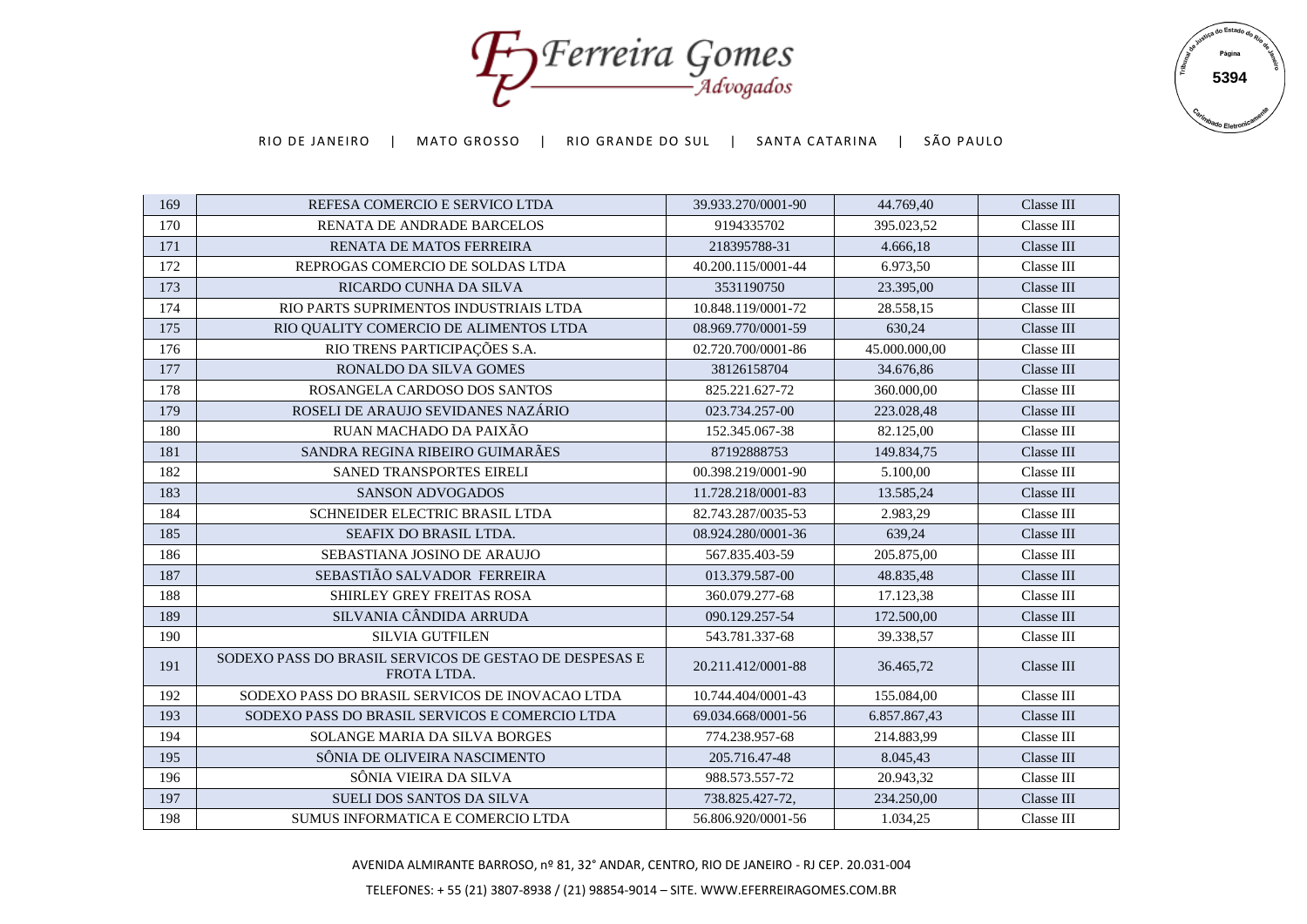Foreira Gomes



| 169 | REFESA COMERCIO E SERVICO LTDA                                        | 39.933.270/0001-90 | 44.769,40     | Classe III |
|-----|-----------------------------------------------------------------------|--------------------|---------------|------------|
| 170 | RENATA DE ANDRADE BARCELOS                                            | 9194335702         | 395.023,52    | Classe III |
| 171 | <b>RENATA DE MATOS FERREIRA</b>                                       | 218395788-31       | 4.666,18      | Classe III |
| 172 | REPROGAS COMERCIO DE SOLDAS LTDA                                      | 40.200.115/0001-44 | 6.973,50      | Classe III |
| 173 | RICARDO CUNHA DA SILVA                                                | 3531190750         | 23.395,00     | Classe III |
| 174 | RIO PARTS SUPRIMENTOS INDUSTRIAIS LTDA                                | 10.848.119/0001-72 | 28.558,15     | Classe III |
| 175 | RIO QUALITY COMERCIO DE ALIMENTOS LTDA                                | 08.969.770/0001-59 | 630,24        | Classe III |
| 176 | RIO TRENS PARTICIPAÇÕES S.A.                                          | 02.720.700/0001-86 | 45.000.000.00 | Classe III |
| 177 | RONALDO DA SILVA GOMES                                                | 38126158704        | 34.676,86     | Classe III |
| 178 | ROSANGELA CARDOSO DOS SANTOS                                          | 825.221.627-72     | 360.000,00    | Classe III |
| 179 | ROSELI DE ARAUJO SEVIDANES NAZÁRIO                                    | 023.734.257-00     | 223.028,48    | Classe III |
| 180 | RUAN MACHADO DA PAIXÃO                                                | 152.345.067-38     | 82.125,00     | Classe III |
| 181 | SANDRA REGINA RIBEIRO GUIMARÃES                                       | 87192888753        | 149.834.75    | Classe III |
| 182 | SANED TRANSPORTES EIRELI                                              | 00.398.219/0001-90 | 5.100,00      | Classe III |
| 183 | <b>SANSON ADVOGADOS</b>                                               | 11.728.218/0001-83 | 13.585,24     | Classe III |
| 184 | SCHNEIDER ELECTRIC BRASIL LTDA                                        | 82.743.287/0035-53 | 2.983,29      | Classe III |
| 185 | SEAFIX DO BRASIL LTDA.                                                | 08.924.280/0001-36 | 639,24        | Classe III |
| 186 | SEBASTIANA JOSINO DE ARAUJO                                           | 567.835.403-59     | 205.875.00    | Classe III |
| 187 | SEBASTIÃO SALVADOR FERREIRA                                           | 013.379.587-00     | 48.835,48     | Classe III |
| 188 | SHIRLEY GREY FREITAS ROSA                                             | 360.079.277-68     | 17.123,38     | Classe III |
| 189 | SILVANIA CÂNDIDA ARRUDA                                               | 090.129.257-54     | 172.500.00    | Classe III |
| 190 | <b>SILVIA GUTFILEN</b>                                                | 543.781.337-68     | 39.338,57     | Classe III |
| 191 | SODEXO PASS DO BRASIL SERVICOS DE GESTAO DE DESPESAS E<br>FROTA LTDA. | 20.211.412/0001-88 | 36.465,72     | Classe III |
| 192 | SODEXO PASS DO BRASIL SERVICOS DE INOVACAO LTDA                       | 10.744.404/0001-43 | 155.084,00    | Classe III |
| 193 | SODEXO PASS DO BRASIL SERVICOS E COMERCIO LTDA                        | 69.034.668/0001-56 | 6.857.867,43  | Classe III |
| 194 | SOLANGE MARIA DA SILVA BORGES                                         | 774.238.957-68     | 214.883.99    | Classe III |
| 195 | SÔNIA DE OLIVEIRA NASCIMENTO                                          | 205.716.47-48      | 8.045,43      | Classe III |
| 196 | SÔNIA VIEIRA DA SILVA                                                 | 988.573.557-72     | 20.943,32     | Classe III |
| 197 | SUELI DOS SANTOS DA SILVA                                             | 738.825.427-72,    | 234.250,00    | Classe III |
| 198 | SUMUS INFORMATICA E COMERCIO LTDA                                     | 56.806.920/0001-56 | 1.034,25      | Classe III |

AVENIDA ALMIRANTE BARROSO, nº 81, 32° ANDAR, CENTRO, RIO DE JANEIRO - RJ CEP. 20.031-004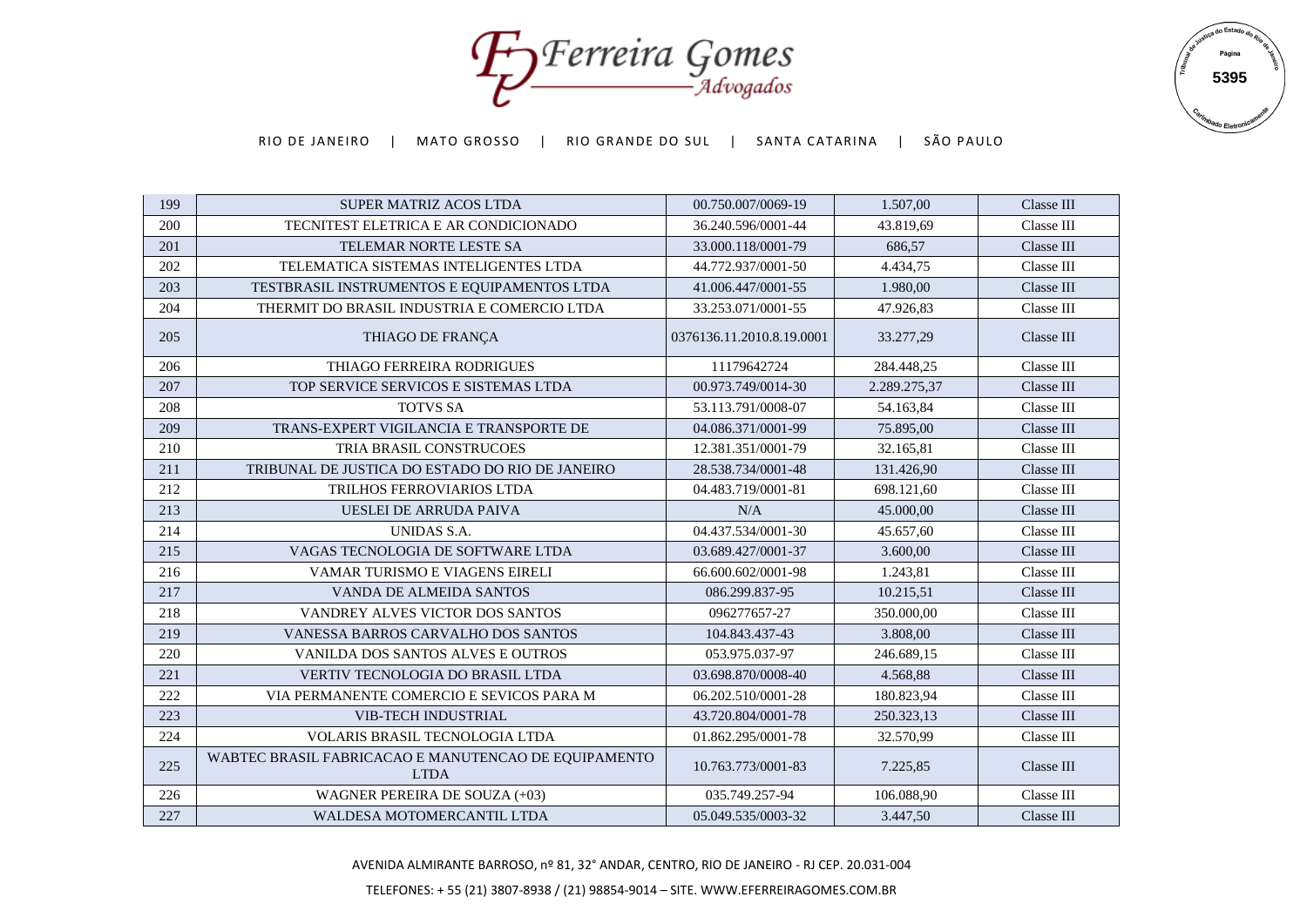Foreira Gomes



| 199 | <b>SUPER MATRIZ ACOS LTDA</b>                                       | 00.750.007/0069-19        | 1.507,00     | Classe III |
|-----|---------------------------------------------------------------------|---------------------------|--------------|------------|
| 200 | TECNITEST ELETRICA E AR CONDICIONADO                                | 36.240.596/0001-44        | 43.819,69    | Classe III |
| 201 | TELEMAR NORTE LESTE SA                                              | 33.000.118/0001-79        | 686.57       | Classe III |
| 202 | TELEMATICA SISTEMAS INTELIGENTES LTDA                               | 44.772.937/0001-50        | 4.434,75     | Classe III |
| 203 | TESTBRASIL INSTRUMENTOS E EQUIPAMENTOS LTDA                         | 41.006.447/0001-55        | 1.980,00     | Classe III |
| 204 | THERMIT DO BRASIL INDUSTRIA E COMERCIO LTDA                         | 33.253.071/0001-55        | 47.926,83    | Classe III |
| 205 | THIAGO DE FRANÇA                                                    | 0376136.11.2010.8.19.0001 | 33.277,29    | Classe III |
| 206 | THIAGO FERREIRA RODRIGUES                                           | 11179642724               | 284.448,25   | Classe III |
| 207 | TOP SERVICE SERVICOS E SISTEMAS LTDA                                | 00.973.749/0014-30        | 2.289.275,37 | Classe III |
| 208 | <b>TOTVS SA</b>                                                     | 53.113.791/0008-07        | 54.163,84    | Classe III |
| 209 | TRANS-EXPERT VIGILANCIA E TRANSPORTE DE                             | 04.086.371/0001-99        | 75.895,00    | Classe III |
| 210 | <b>TRIA BRASIL CONSTRUCOES</b>                                      | 12.381.351/0001-79        | 32.165,81    | Classe III |
| 211 | TRIBUNAL DE JUSTICA DO ESTADO DO RIO DE JANEIRO                     | 28.538.734/0001-48        | 131.426,90   | Classe III |
| 212 | TRILHOS FERROVIARIOS LTDA                                           | 04.483.719/0001-81        | 698.121,60   | Classe III |
| 213 | UESLEI DE ARRUDA PAIVA                                              | N/A                       | 45.000,00    | Classe III |
| 214 | UNIDAS S.A.                                                         | 04.437.534/0001-30        | 45.657,60    | Classe III |
| 215 | VAGAS TECNOLOGIA DE SOFTWARE LTDA                                   | 03.689.427/0001-37        | 3.600,00     | Classe III |
| 216 | VAMAR TURISMO E VIAGENS EIRELI                                      | 66.600.602/0001-98        | 1.243,81     | Classe III |
| 217 | <b>VANDA DE ALMEIDA SANTOS</b>                                      | 086.299.837-95            | 10.215,51    | Classe III |
| 218 | VANDREY ALVES VICTOR DOS SANTOS                                     | 096277657-27              | 350.000,00   | Classe III |
| 219 | VANESSA BARROS CARVALHO DOS SANTOS                                  | 104.843.437-43            | 3.808,00     | Classe III |
| 220 | VANILDA DOS SANTOS ALVES E OUTROS                                   | 053.975.037-97            | 246.689,15   | Classe III |
| 221 | VERTIV TECNOLOGIA DO BRASIL LTDA                                    | 03.698.870/0008-40        | 4.568,88     | Classe III |
| 222 | VIA PERMANENTE COMERCIO E SEVICOS PARA M                            | 06.202.510/0001-28        | 180.823,94   | Classe III |
| 223 | <b>VIB-TECH INDUSTRIAL</b>                                          | 43.720.804/0001-78        | 250.323,13   | Classe III |
| 224 | VOLARIS BRASIL TECNOLOGIA LTDA                                      | 01.862.295/0001-78        | 32.570,99    | Classe III |
| 225 | WABTEC BRASIL FABRICACAO E MANUTENCAO DE EQUIPAMENTO<br><b>LTDA</b> | 10.763.773/0001-83        | 7.225,85     | Classe III |
| 226 | WAGNER PEREIRA DE SOUZA (+03)                                       | 035.749.257-94            | 106.088,90   | Classe III |
| 227 | WALDESA MOTOMERCANTIL LTDA                                          | 05.049.535/0003-32        | 3.447,50     | Classe III |

AVENIDA ALMIRANTE BARROSO, nº 81, 32° ANDAR, CENTRO, RIO DE JANEIRO - RJ CEP. 20.031-004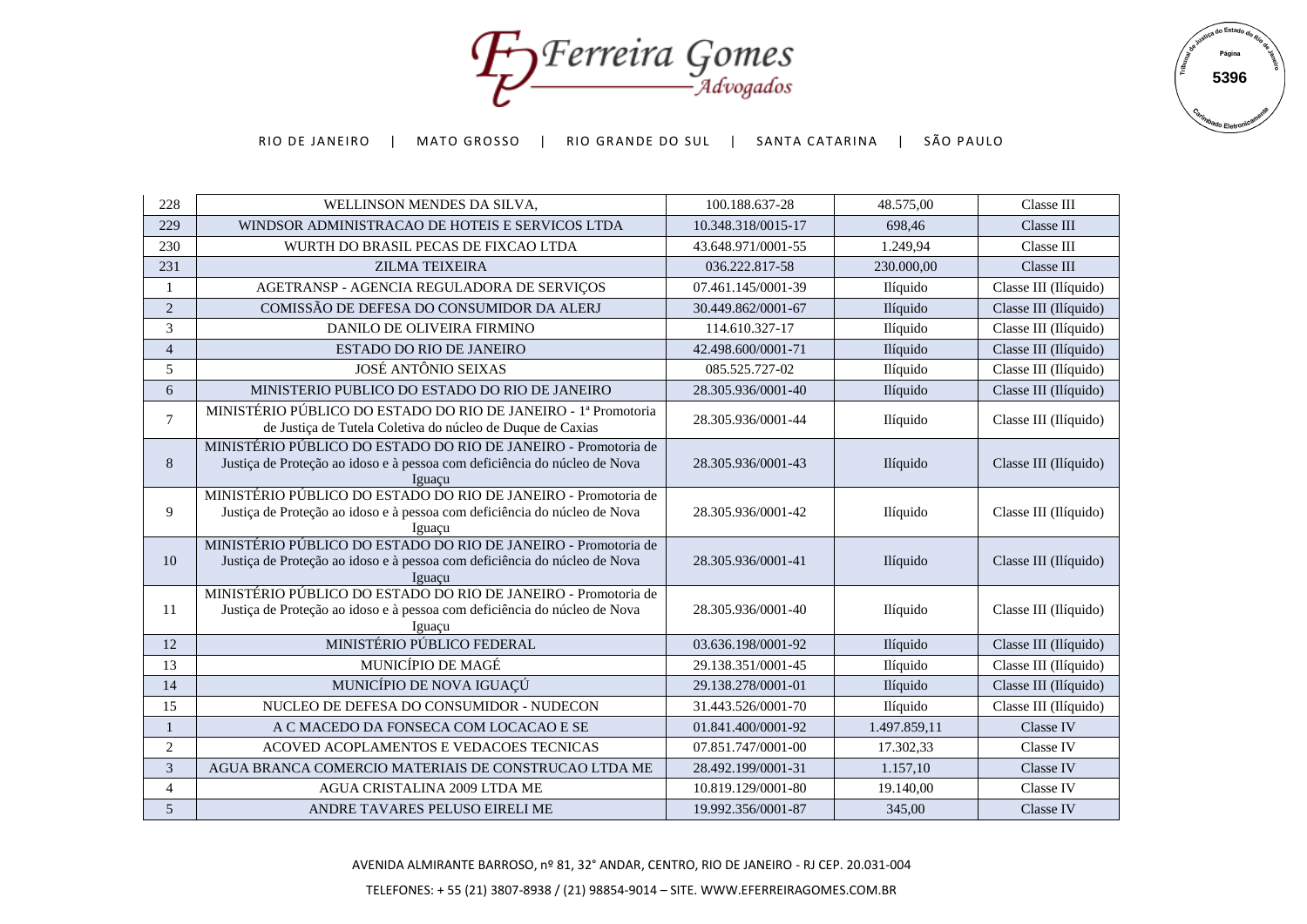Forerreira Gomes



| 228            | WELLINSON MENDES DA SILVA,                                                                                                                            | 100.188.637-28     | 48.575,00       | Classe III            |
|----------------|-------------------------------------------------------------------------------------------------------------------------------------------------------|--------------------|-----------------|-----------------------|
| 229            | WINDSOR ADMINISTRACAO DE HOTEIS E SERVICOS LTDA                                                                                                       | 10.348.318/0015-17 | 698.46          | Classe III            |
| 230            | WURTH DO BRASIL PECAS DE FIXCAO LTDA                                                                                                                  | 43.648.971/0001-55 | 1.249,94        | Classe III            |
| 231            | <b>ZILMA TEIXEIRA</b>                                                                                                                                 | 036.222.817-58     | 230.000,00      | Classe III            |
| 1              | AGETRANSP - AGENCIA REGULADORA DE SERVIÇOS                                                                                                            | 07.461.145/0001-39 | Ilíquido        | Classe III (Ilíquido) |
| 2              | COMISSÃO DE DEFESA DO CONSUMIDOR DA ALERI                                                                                                             | 30.449.862/0001-67 | Ilíquido        | Classe III (Ilíquido) |
| 3              | DANILO DE OLIVEIRA FIRMINO                                                                                                                            | 114.610.327-17     | Ilíquido        | Classe III (Ilíquido) |
| $\overline{4}$ | ESTADO DO RIO DE JANEIRO                                                                                                                              | 42.498.600/0001-71 | Ilíquido        | Classe III (Ilíquido) |
| 5              | <b>JOSÉ ANTÔNIO SEIXAS</b>                                                                                                                            | 085.525.727-02     | Ilíquido        | Classe III (Ilíquido) |
| 6              | MINISTERIO PUBLICO DO ESTADO DO RIO DE JANEIRO                                                                                                        | 28.305.936/0001-40 | Ilíquido        | Classe III (Ilíquido) |
| $\overline{7}$ | MINISTÉRIO PÚBLICO DO ESTADO DO RIO DE JANEIRO - 1ª Promotoria<br>de Justiça de Tutela Coletiva do núcleo de Duque de Caxias                          | 28.305.936/0001-44 | Ilíquido        | Classe III (Ilíquido) |
| 8              | MINISTÉRIO PÚBLICO DO ESTADO DO RIO DE JANEIRO - Promotoria de<br>Justiça de Proteção ao idoso e à pessoa com deficiência do núcleo de Nova<br>Iguacu | 28.305.936/0001-43 | <i>Ilíquido</i> | Classe III (Ilíquido) |
| 9              | MINISTÉRIO PÚBLICO DO ESTADO DO RIO DE JANEIRO - Promotoria de<br>Justiça de Proteção ao idoso e à pessoa com deficiência do núcleo de Nova<br>Iguacu | 28.305.936/0001-42 | Ilíquido        | Classe III (Ilíquido) |
| 10             | MINISTÉRIO PÚBLICO DO ESTADO DO RIO DE JANEIRO - Promotoria de<br>Justiça de Proteção ao idoso e à pessoa com deficiência do núcleo de Nova<br>Iguacu | 28.305.936/0001-41 | Ilíquido        | Classe III (Ilíquido) |
| 11             | MINISTÉRIO PÚBLICO DO ESTADO DO RIO DE JANEIRO - Promotoria de<br>Justiça de Proteção ao idoso e à pessoa com deficiência do núcleo de Nova<br>Iguaçu | 28.305.936/0001-40 | Ilíquido        | Classe III (Ilíquido) |
| 12             | MINISTÉRIO PÚBLICO FEDERAL                                                                                                                            | 03.636.198/0001-92 | Ilíquido        | Classe III (Ilíquido) |
| 13             | MUNICÍPIO DE MAGÉ                                                                                                                                     | 29.138.351/0001-45 | Ilíquido        | Classe III (Ilíquido) |
| 14             | MUNICÍPIO DE NOVA IGUAÇÚ                                                                                                                              | 29.138.278/0001-01 | Ilíquido        | Classe III (Ilíquido) |
| 15             | NUCLEO DE DEFESA DO CONSUMIDOR - NUDECON                                                                                                              | 31.443.526/0001-70 | Ilíquido        | Classe III (Ilíquido) |
| $\mathbf{1}$   | A C MACEDO DA FONSECA COM LOCACAO E SE                                                                                                                | 01.841.400/0001-92 | 1.497.859,11    | Classe IV             |
| $\sqrt{2}$     | ACOVED ACOPLAMENTOS E VEDACOES TECNICAS                                                                                                               | 07.851.747/0001-00 | 17.302,33       | Classe IV             |
| $\mathfrak{Z}$ | AGUA BRANCA COMERCIO MATERIAIS DE CONSTRUCAO LTDA ME                                                                                                  | 28.492.199/0001-31 | 1.157,10        | Classe IV             |
| $\overline{4}$ | AGUA CRISTALINA 2009 LTDA ME                                                                                                                          | 10.819.129/0001-80 | 19.140,00       | Classe IV             |
| $\mathfrak{S}$ | ANDRE TAVARES PELUSO EIRELI ME                                                                                                                        | 19.992.356/0001-87 | 345,00          | Classe IV             |

AVENIDA ALMIRANTE BARROSO, nº 81, 32° ANDAR, CENTRO, RIO DE JANEIRO - RJ CEP. 20.031-004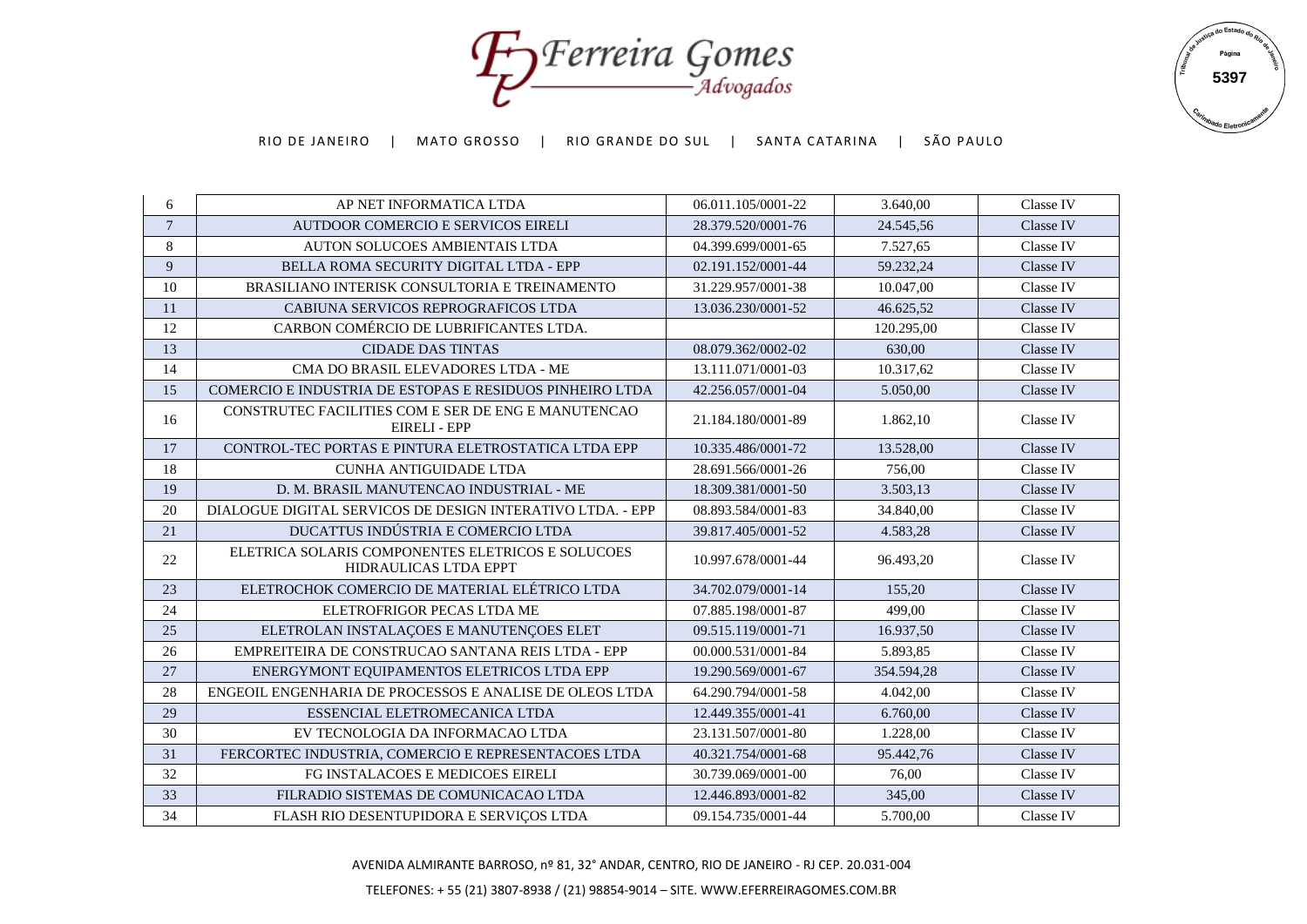Foreira Gomes



| 6                | AP NET INFORMATICA LTDA                                                    | 06.011.105/0001-22 | 3.640,00   | <b>Classe IV</b> |
|------------------|----------------------------------------------------------------------------|--------------------|------------|------------------|
| $\boldsymbol{7}$ | AUTDOOR COMERCIO E SERVICOS EIRELI                                         | 28.379.520/0001-76 | 24.545,56  | Classe IV        |
| $8\,$            | AUTON SOLUCOES AMBIENTAIS LTDA                                             | 04.399.699/0001-65 | 7.527,65   | Classe IV        |
| 9                | BELLA ROMA SECURITY DIGITAL LTDA - EPP                                     | 02.191.152/0001-44 | 59.232,24  | Classe IV        |
| 10               | BRASILIANO INTERISK CONSULTORIA E TREINAMENTO                              | 31.229.957/0001-38 | 10.047,00  | Classe IV        |
| 11               | CABIUNA SERVICOS REPROGRAFICOS LTDA                                        | 13.036.230/0001-52 | 46.625,52  | Classe IV        |
| 12               | CARBON COMÉRCIO DE LUBRIFICANTES LTDA.                                     |                    | 120.295,00 | Classe IV        |
| 13               | <b>CIDADE DAS TINTAS</b>                                                   | 08.079.362/0002-02 | 630,00     | Classe IV        |
| 14               | CMA DO BRASIL ELEVADORES LTDA - ME                                         | 13.111.071/0001-03 | 10.317,62  | Classe IV        |
| 15               | COMERCIO E INDUSTRIA DE ESTOPAS E RESIDUOS PINHEIRO LTDA                   | 42.256.057/0001-04 | 5.050,00   | Classe IV        |
| 16               | CONSTRUTEC FACILITIES COM E SER DE ENG E MANUTENCAO<br><b>EIRELI - EPP</b> | 21.184.180/0001-89 | 1.862,10   | Classe IV        |
| 17               | CONTROL-TEC PORTAS E PINTURA ELETROSTATICA LTDA EPP                        | 10.335.486/0001-72 | 13.528,00  | Classe IV        |
| 18               | <b>CUNHA ANTIGUIDADE LTDA</b>                                              | 28.691.566/0001-26 | 756,00     | Classe IV        |
| 19               | D. M. BRASIL MANUTENCAO INDUSTRIAL - ME                                    | 18.309.381/0001-50 | 3.503,13   | Classe IV        |
| 20               | DIALOGUE DIGITAL SERVICOS DE DESIGN INTERATIVO LTDA. - EPP                 | 08.893.584/0001-83 | 34.840,00  | Classe IV        |
| 21               | DUCATTUS INDÚSTRIA E COMERCIO LTDA                                         | 39.817.405/0001-52 | 4.583,28   | Classe IV        |
| 22               | ELETRICA SOLARIS COMPONENTES ELETRICOS E SOLUCOES<br>HIDRAULICAS LTDA EPPT | 10.997.678/0001-44 | 96.493,20  | Classe IV        |
| 23               | ELETROCHOK COMERCIO DE MATERIAL ELÉTRICO LTDA                              | 34.702.079/0001-14 | 155,20     | Classe IV        |
| 24               | ELETROFRIGOR PECAS LTDA ME                                                 | 07.885.198/0001-87 | 499.00     | Classe IV        |
| 25               | ELETROLAN INSTALAÇOES E MANUTENÇOES ELET                                   | 09.515.119/0001-71 | 16.937,50  | Classe IV        |
| 26               | EMPREITEIRA DE CONSTRUCAO SANTANA REIS LTDA - EPP                          | 00.000.531/0001-84 | 5.893,85   | Classe IV        |
| 27               | ENERGYMONT EQUIPAMENTOS ELETRICOS LTDA EPP                                 | 19.290.569/0001-67 | 354.594,28 | Classe IV        |
| 28               | ENGEOIL ENGENHARIA DE PROCESSOS E ANALISE DE OLEOS LTDA                    | 64.290.794/0001-58 | 4.042,00   | Classe IV        |
| 29               | ESSENCIAL ELETROMECANICA LTDA                                              | 12.449.355/0001-41 | 6.760,00   | Classe IV        |
| 30               | EV TECNOLOGIA DA INFORMACAO LTDA                                           | 23.131.507/0001-80 | 1.228,00   | Classe IV        |
| 31               | FERCORTEC INDUSTRIA, COMERCIO E REPRESENTACOES LTDA                        | 40.321.754/0001-68 | 95.442,76  | Classe IV        |
| 32               | FG INSTALACOES E MEDICOES EIRELI                                           | 30.739.069/0001-00 | 76,00      | Classe IV        |
| 33               | FILRADIO SISTEMAS DE COMUNICACAO LTDA                                      | 12.446.893/0001-82 | 345,00     | Classe IV        |
| 34               | FLASH RIO DESENTUPIDORA E SERVIÇOS LTDA                                    | 09.154.735/0001-44 | 5.700,00   | Classe IV        |

AVENIDA ALMIRANTE BARROSO, nº 81, 32° ANDAR, CENTRO, RIO DE JANEIRO - RJ CEP. 20.031-004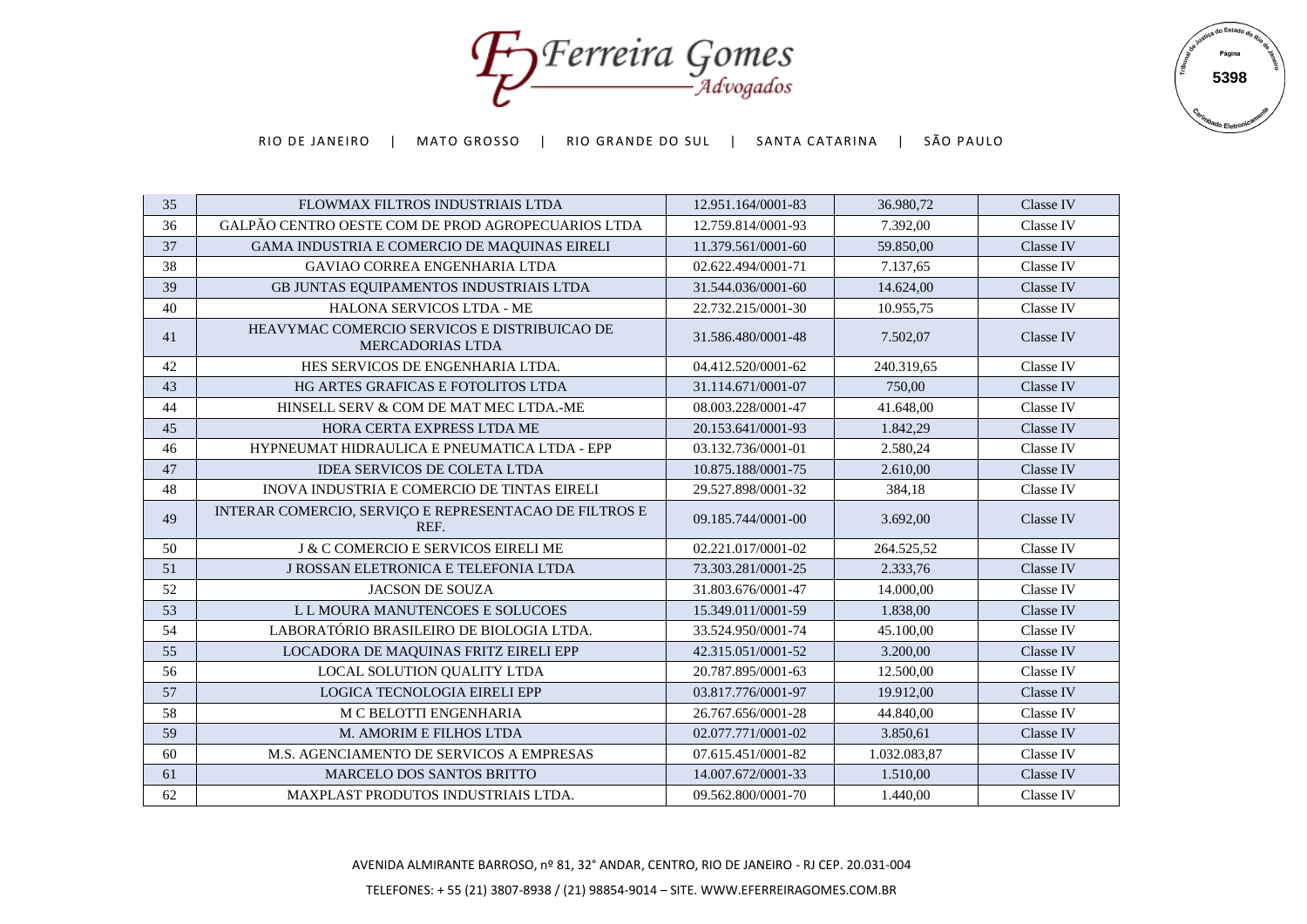Foreira Gomes



| Classe IV<br>36<br>GALPÃO CENTRO OESTE COM DE PROD AGROPECUARIOS LTDA<br>12.759.814/0001-93<br>7.392,00<br>37<br>Classe IV<br>GAMA INDUSTRIA E COMERCIO DE MAQUINAS EIRELI<br>59.850,00<br>11.379.561/0001-60<br>38<br>Classe IV<br><b>GAVIAO CORREA ENGENHARIA LTDA</b><br>02.622.494/0001-71<br>7.137,65<br>39<br>Classe IV<br>GB JUNTAS EQUIPAMENTOS INDUSTRIAIS LTDA<br>31.544.036/0001-60<br>14.624,00<br>HALONA SERVICOS LTDA - ME<br>Classe IV<br>40<br>22.732.215/0001-30<br>10.955,75<br>HEAVYMAC COMERCIO SERVICOS E DISTRIBUICAO DE<br>41<br>31.586.480/0001-48<br>7.502,07<br>Classe IV<br><b>MERCADORIAS LTDA</b><br>HES SERVICOS DE ENGENHARIA LTDA.<br>Classe IV<br>42<br>04.412.520/0001-62<br>240.319,65<br>Classe IV<br>43<br>HG ARTES GRAFICAS E FOTOLITOS LTDA<br>31.114.671/0001-07<br>750,00<br>Classe IV<br>44<br>08.003.228/0001-47<br>41.648,00<br>HINSELL SERV & COM DE MAT MEC LTDA.-ME<br>Classe IV<br>45<br>HORA CERTA EXPRESS LTDA ME<br>20.153.641/0001-93<br>1.842,29<br>2.580,24<br>Classe IV<br>46<br>HYPNEUMAT HIDRAULICA E PNEUMATICA LTDA - EPP<br>03.132.736/0001-01<br>Classe IV<br>47<br><b>IDEA SERVICOS DE COLETA LTDA</b><br>10.875.188/0001-75<br>2.610,00<br>Classe IV<br>48<br>INOVA INDUSTRIA E COMERCIO DE TINTAS EIRELI<br>29.527.898/0001-32<br>384,18<br>INTERAR COMERCIO, SERVIÇO E REPRESENTACAO DE FILTROS E<br>49<br>09.185.744/0001-00<br>3.692,00<br>Classe IV<br>REF.<br>Classe IV<br>50<br><b>J &amp; C COMERCIO E SERVICOS EIRELI ME</b><br>02.221.017/0001-02<br>264.525,52<br>51<br>J ROSSAN ELETRONICA E TELEFONIA LTDA<br>73.303.281/0001-25<br>Classe IV<br>2.333,76<br>Classe IV<br>52<br>14.000,00<br><b>JACSON DE SOUZA</b><br>31.803.676/0001-47<br>53<br>Classe IV<br>L L MOURA MANUTENCOES E SOLUCOES<br>15.349.011/0001-59<br>1.838,00<br>54<br>LABORATÓRIO BRASILEIRO DE BIOLOGIA LTDA.<br>45.100,00<br>Classe IV<br>33.524.950/0001-74<br>55<br>Classe IV<br>LOCADORA DE MAQUINAS FRITZ EIRELI EPP<br>42.315.051/0001-52<br>3.200,00<br>56<br>Classe IV<br>LOCAL SOLUTION QUALITY LTDA<br>20.787.895/0001-63<br>12.500,00<br>57<br>LOGICA TECNOLOGIA EIRELI EPP<br>Classe IV<br>03.817.776/0001-97<br>19.912,00<br>58<br>Classe IV<br>M C BELOTTI ENGENHARIA<br>26.767.656/0001-28<br>44.840,00<br>M. AMORIM E FILHOS LTDA<br>Classe IV<br>59<br>02.077.771/0001-02<br>3.850,61<br>60<br>M.S. AGENCIAMENTO DE SERVICOS A EMPRESAS<br>Classe IV<br>07.615.451/0001-82<br>1.032.083,87<br>14.007.672/0001-33<br>61<br>MARCELO DOS SANTOS BRITTO<br>1.510.00<br>Classe IV<br>62<br>1.440,00<br>MAXPLAST PRODUTOS INDUSTRIAIS LTDA.<br>09.562.800/0001-70<br>Classe IV | 35 | FLOWMAX FILTROS INDUSTRIAIS LTDA | 12.951.164/0001-83 | 36.980,72 | Classe IV |
|----------------------------------------------------------------------------------------------------------------------------------------------------------------------------------------------------------------------------------------------------------------------------------------------------------------------------------------------------------------------------------------------------------------------------------------------------------------------------------------------------------------------------------------------------------------------------------------------------------------------------------------------------------------------------------------------------------------------------------------------------------------------------------------------------------------------------------------------------------------------------------------------------------------------------------------------------------------------------------------------------------------------------------------------------------------------------------------------------------------------------------------------------------------------------------------------------------------------------------------------------------------------------------------------------------------------------------------------------------------------------------------------------------------------------------------------------------------------------------------------------------------------------------------------------------------------------------------------------------------------------------------------------------------------------------------------------------------------------------------------------------------------------------------------------------------------------------------------------------------------------------------------------------------------------------------------------------------------------------------------------------------------------------------------------------------------------------------------------------------------------------------------------------------------------------------------------------------------------------------------------------------------------------------------------------------------------------------------------------------------------------------------------------------------------------------------------------------------------------------------------------------------------------------------------------------------------------------------------------------------------------------------|----|----------------------------------|--------------------|-----------|-----------|
|                                                                                                                                                                                                                                                                                                                                                                                                                                                                                                                                                                                                                                                                                                                                                                                                                                                                                                                                                                                                                                                                                                                                                                                                                                                                                                                                                                                                                                                                                                                                                                                                                                                                                                                                                                                                                                                                                                                                                                                                                                                                                                                                                                                                                                                                                                                                                                                                                                                                                                                                                                                                                                              |    |                                  |                    |           |           |
|                                                                                                                                                                                                                                                                                                                                                                                                                                                                                                                                                                                                                                                                                                                                                                                                                                                                                                                                                                                                                                                                                                                                                                                                                                                                                                                                                                                                                                                                                                                                                                                                                                                                                                                                                                                                                                                                                                                                                                                                                                                                                                                                                                                                                                                                                                                                                                                                                                                                                                                                                                                                                                              |    |                                  |                    |           |           |
|                                                                                                                                                                                                                                                                                                                                                                                                                                                                                                                                                                                                                                                                                                                                                                                                                                                                                                                                                                                                                                                                                                                                                                                                                                                                                                                                                                                                                                                                                                                                                                                                                                                                                                                                                                                                                                                                                                                                                                                                                                                                                                                                                                                                                                                                                                                                                                                                                                                                                                                                                                                                                                              |    |                                  |                    |           |           |
|                                                                                                                                                                                                                                                                                                                                                                                                                                                                                                                                                                                                                                                                                                                                                                                                                                                                                                                                                                                                                                                                                                                                                                                                                                                                                                                                                                                                                                                                                                                                                                                                                                                                                                                                                                                                                                                                                                                                                                                                                                                                                                                                                                                                                                                                                                                                                                                                                                                                                                                                                                                                                                              |    |                                  |                    |           |           |
|                                                                                                                                                                                                                                                                                                                                                                                                                                                                                                                                                                                                                                                                                                                                                                                                                                                                                                                                                                                                                                                                                                                                                                                                                                                                                                                                                                                                                                                                                                                                                                                                                                                                                                                                                                                                                                                                                                                                                                                                                                                                                                                                                                                                                                                                                                                                                                                                                                                                                                                                                                                                                                              |    |                                  |                    |           |           |
|                                                                                                                                                                                                                                                                                                                                                                                                                                                                                                                                                                                                                                                                                                                                                                                                                                                                                                                                                                                                                                                                                                                                                                                                                                                                                                                                                                                                                                                                                                                                                                                                                                                                                                                                                                                                                                                                                                                                                                                                                                                                                                                                                                                                                                                                                                                                                                                                                                                                                                                                                                                                                                              |    |                                  |                    |           |           |
|                                                                                                                                                                                                                                                                                                                                                                                                                                                                                                                                                                                                                                                                                                                                                                                                                                                                                                                                                                                                                                                                                                                                                                                                                                                                                                                                                                                                                                                                                                                                                                                                                                                                                                                                                                                                                                                                                                                                                                                                                                                                                                                                                                                                                                                                                                                                                                                                                                                                                                                                                                                                                                              |    |                                  |                    |           |           |
|                                                                                                                                                                                                                                                                                                                                                                                                                                                                                                                                                                                                                                                                                                                                                                                                                                                                                                                                                                                                                                                                                                                                                                                                                                                                                                                                                                                                                                                                                                                                                                                                                                                                                                                                                                                                                                                                                                                                                                                                                                                                                                                                                                                                                                                                                                                                                                                                                                                                                                                                                                                                                                              |    |                                  |                    |           |           |
|                                                                                                                                                                                                                                                                                                                                                                                                                                                                                                                                                                                                                                                                                                                                                                                                                                                                                                                                                                                                                                                                                                                                                                                                                                                                                                                                                                                                                                                                                                                                                                                                                                                                                                                                                                                                                                                                                                                                                                                                                                                                                                                                                                                                                                                                                                                                                                                                                                                                                                                                                                                                                                              |    |                                  |                    |           |           |
|                                                                                                                                                                                                                                                                                                                                                                                                                                                                                                                                                                                                                                                                                                                                                                                                                                                                                                                                                                                                                                                                                                                                                                                                                                                                                                                                                                                                                                                                                                                                                                                                                                                                                                                                                                                                                                                                                                                                                                                                                                                                                                                                                                                                                                                                                                                                                                                                                                                                                                                                                                                                                                              |    |                                  |                    |           |           |
|                                                                                                                                                                                                                                                                                                                                                                                                                                                                                                                                                                                                                                                                                                                                                                                                                                                                                                                                                                                                                                                                                                                                                                                                                                                                                                                                                                                                                                                                                                                                                                                                                                                                                                                                                                                                                                                                                                                                                                                                                                                                                                                                                                                                                                                                                                                                                                                                                                                                                                                                                                                                                                              |    |                                  |                    |           |           |
|                                                                                                                                                                                                                                                                                                                                                                                                                                                                                                                                                                                                                                                                                                                                                                                                                                                                                                                                                                                                                                                                                                                                                                                                                                                                                                                                                                                                                                                                                                                                                                                                                                                                                                                                                                                                                                                                                                                                                                                                                                                                                                                                                                                                                                                                                                                                                                                                                                                                                                                                                                                                                                              |    |                                  |                    |           |           |
|                                                                                                                                                                                                                                                                                                                                                                                                                                                                                                                                                                                                                                                                                                                                                                                                                                                                                                                                                                                                                                                                                                                                                                                                                                                                                                                                                                                                                                                                                                                                                                                                                                                                                                                                                                                                                                                                                                                                                                                                                                                                                                                                                                                                                                                                                                                                                                                                                                                                                                                                                                                                                                              |    |                                  |                    |           |           |
|                                                                                                                                                                                                                                                                                                                                                                                                                                                                                                                                                                                                                                                                                                                                                                                                                                                                                                                                                                                                                                                                                                                                                                                                                                                                                                                                                                                                                                                                                                                                                                                                                                                                                                                                                                                                                                                                                                                                                                                                                                                                                                                                                                                                                                                                                                                                                                                                                                                                                                                                                                                                                                              |    |                                  |                    |           |           |
|                                                                                                                                                                                                                                                                                                                                                                                                                                                                                                                                                                                                                                                                                                                                                                                                                                                                                                                                                                                                                                                                                                                                                                                                                                                                                                                                                                                                                                                                                                                                                                                                                                                                                                                                                                                                                                                                                                                                                                                                                                                                                                                                                                                                                                                                                                                                                                                                                                                                                                                                                                                                                                              |    |                                  |                    |           |           |
|                                                                                                                                                                                                                                                                                                                                                                                                                                                                                                                                                                                                                                                                                                                                                                                                                                                                                                                                                                                                                                                                                                                                                                                                                                                                                                                                                                                                                                                                                                                                                                                                                                                                                                                                                                                                                                                                                                                                                                                                                                                                                                                                                                                                                                                                                                                                                                                                                                                                                                                                                                                                                                              |    |                                  |                    |           |           |
|                                                                                                                                                                                                                                                                                                                                                                                                                                                                                                                                                                                                                                                                                                                                                                                                                                                                                                                                                                                                                                                                                                                                                                                                                                                                                                                                                                                                                                                                                                                                                                                                                                                                                                                                                                                                                                                                                                                                                                                                                                                                                                                                                                                                                                                                                                                                                                                                                                                                                                                                                                                                                                              |    |                                  |                    |           |           |
|                                                                                                                                                                                                                                                                                                                                                                                                                                                                                                                                                                                                                                                                                                                                                                                                                                                                                                                                                                                                                                                                                                                                                                                                                                                                                                                                                                                                                                                                                                                                                                                                                                                                                                                                                                                                                                                                                                                                                                                                                                                                                                                                                                                                                                                                                                                                                                                                                                                                                                                                                                                                                                              |    |                                  |                    |           |           |
|                                                                                                                                                                                                                                                                                                                                                                                                                                                                                                                                                                                                                                                                                                                                                                                                                                                                                                                                                                                                                                                                                                                                                                                                                                                                                                                                                                                                                                                                                                                                                                                                                                                                                                                                                                                                                                                                                                                                                                                                                                                                                                                                                                                                                                                                                                                                                                                                                                                                                                                                                                                                                                              |    |                                  |                    |           |           |
|                                                                                                                                                                                                                                                                                                                                                                                                                                                                                                                                                                                                                                                                                                                                                                                                                                                                                                                                                                                                                                                                                                                                                                                                                                                                                                                                                                                                                                                                                                                                                                                                                                                                                                                                                                                                                                                                                                                                                                                                                                                                                                                                                                                                                                                                                                                                                                                                                                                                                                                                                                                                                                              |    |                                  |                    |           |           |
|                                                                                                                                                                                                                                                                                                                                                                                                                                                                                                                                                                                                                                                                                                                                                                                                                                                                                                                                                                                                                                                                                                                                                                                                                                                                                                                                                                                                                                                                                                                                                                                                                                                                                                                                                                                                                                                                                                                                                                                                                                                                                                                                                                                                                                                                                                                                                                                                                                                                                                                                                                                                                                              |    |                                  |                    |           |           |
|                                                                                                                                                                                                                                                                                                                                                                                                                                                                                                                                                                                                                                                                                                                                                                                                                                                                                                                                                                                                                                                                                                                                                                                                                                                                                                                                                                                                                                                                                                                                                                                                                                                                                                                                                                                                                                                                                                                                                                                                                                                                                                                                                                                                                                                                                                                                                                                                                                                                                                                                                                                                                                              |    |                                  |                    |           |           |
|                                                                                                                                                                                                                                                                                                                                                                                                                                                                                                                                                                                                                                                                                                                                                                                                                                                                                                                                                                                                                                                                                                                                                                                                                                                                                                                                                                                                                                                                                                                                                                                                                                                                                                                                                                                                                                                                                                                                                                                                                                                                                                                                                                                                                                                                                                                                                                                                                                                                                                                                                                                                                                              |    |                                  |                    |           |           |
|                                                                                                                                                                                                                                                                                                                                                                                                                                                                                                                                                                                                                                                                                                                                                                                                                                                                                                                                                                                                                                                                                                                                                                                                                                                                                                                                                                                                                                                                                                                                                                                                                                                                                                                                                                                                                                                                                                                                                                                                                                                                                                                                                                                                                                                                                                                                                                                                                                                                                                                                                                                                                                              |    |                                  |                    |           |           |
|                                                                                                                                                                                                                                                                                                                                                                                                                                                                                                                                                                                                                                                                                                                                                                                                                                                                                                                                                                                                                                                                                                                                                                                                                                                                                                                                                                                                                                                                                                                                                                                                                                                                                                                                                                                                                                                                                                                                                                                                                                                                                                                                                                                                                                                                                                                                                                                                                                                                                                                                                                                                                                              |    |                                  |                    |           |           |
|                                                                                                                                                                                                                                                                                                                                                                                                                                                                                                                                                                                                                                                                                                                                                                                                                                                                                                                                                                                                                                                                                                                                                                                                                                                                                                                                                                                                                                                                                                                                                                                                                                                                                                                                                                                                                                                                                                                                                                                                                                                                                                                                                                                                                                                                                                                                                                                                                                                                                                                                                                                                                                              |    |                                  |                    |           |           |
|                                                                                                                                                                                                                                                                                                                                                                                                                                                                                                                                                                                                                                                                                                                                                                                                                                                                                                                                                                                                                                                                                                                                                                                                                                                                                                                                                                                                                                                                                                                                                                                                                                                                                                                                                                                                                                                                                                                                                                                                                                                                                                                                                                                                                                                                                                                                                                                                                                                                                                                                                                                                                                              |    |                                  |                    |           |           |

AVENIDA ALMIRANTE BARROSO, nº 81, 32° ANDAR, CENTRO, RIO DE JANEIRO - RJ CEP. 20.031-004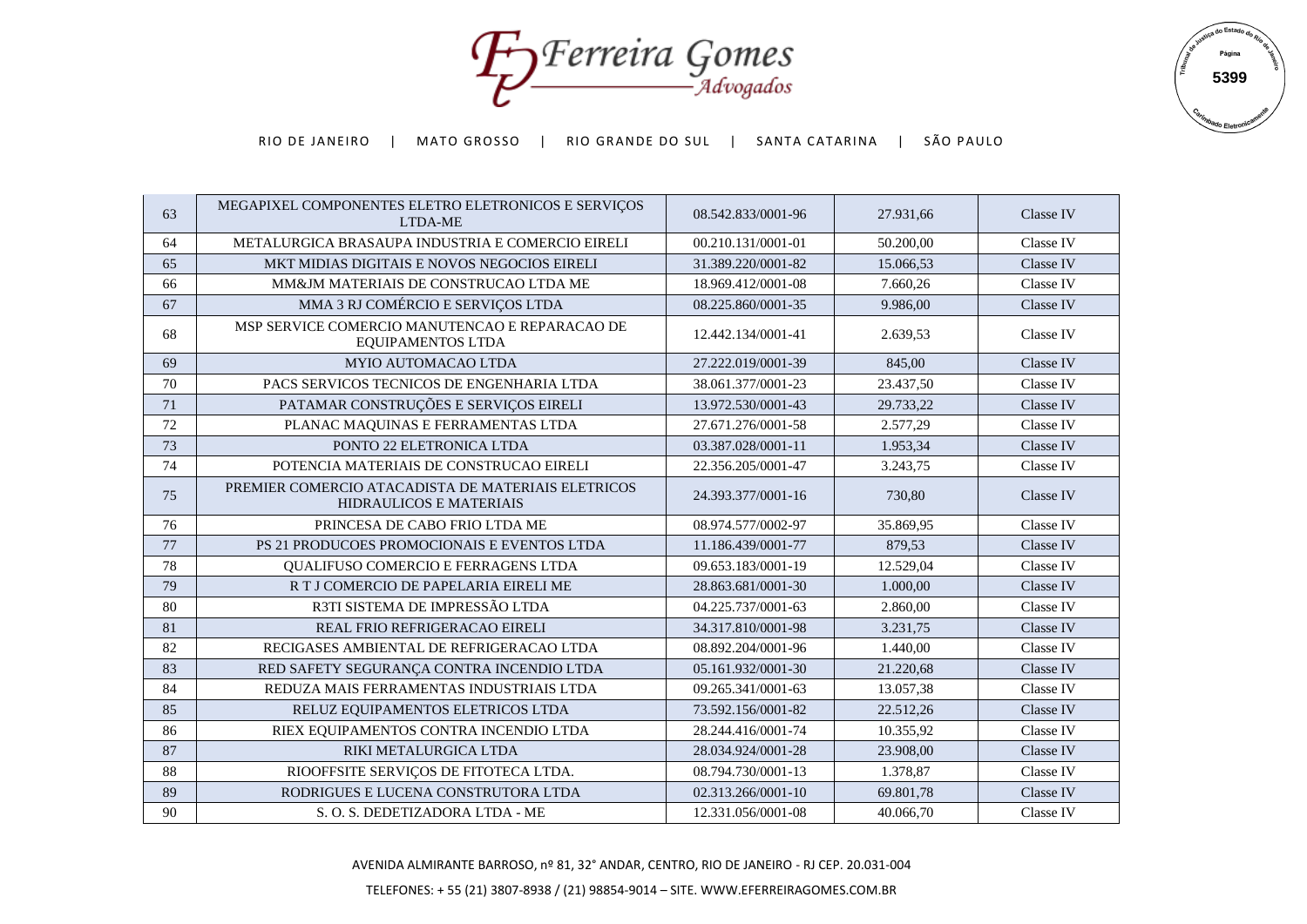Fy Ferreira Gomes



| 63 | MEGAPIXEL COMPONENTES ELETRO ELETRONICOS E SERVIÇOS<br>LTDA-ME                       | 08.542.833/0001-96 | 27.931,66 | Classe IV |
|----|--------------------------------------------------------------------------------------|--------------------|-----------|-----------|
| 64 | METALURGICA BRASAUPA INDUSTRIA E COMERCIO EIRELI                                     | 00.210.131/0001-01 | 50.200,00 | Classe IV |
| 65 | MKT MIDIAS DIGITAIS E NOVOS NEGOCIOS EIRELI                                          | 31.389.220/0001-82 | 15.066,53 | Classe IV |
| 66 | MM&JM MATERIAIS DE CONSTRUCAO LTDA ME                                                | 18.969.412/0001-08 | 7.660,26  | Classe IV |
| 67 | MMA 3 RJ COMÉRCIO E SERVIÇOS LTDA                                                    | 08.225.860/0001-35 | 9.986,00  | Classe IV |
| 68 | MSP SERVICE COMERCIO MANUTENCAO E REPARACAO DE<br>EQUIPAMENTOS LTDA                  | 12.442.134/0001-41 | 2.639,53  | Classe IV |
| 69 | <b>MYIO AUTOMACAO LTDA</b>                                                           | 27.222.019/0001-39 | 845,00    | Classe IV |
| 70 | PACS SERVICOS TECNICOS DE ENGENHARIA LTDA                                            | 38.061.377/0001-23 | 23.437,50 | Classe IV |
| 71 | PATAMAR CONSTRUÇÕES E SERVIÇOS EIRELI                                                | 13.972.530/0001-43 | 29.733,22 | Classe IV |
| 72 | PLANAC MAQUINAS E FERRAMENTAS LTDA                                                   | 27.671.276/0001-58 | 2.577,29  | Classe IV |
| 73 | PONTO 22 ELETRONICA LTDA                                                             | 03.387.028/0001-11 | 1.953,34  | Classe IV |
| 74 | POTENCIA MATERIAIS DE CONSTRUCAO EIRELI                                              | 22.356.205/0001-47 | 3.243,75  | Classe IV |
| 75 | PREMIER COMERCIO ATACADISTA DE MATERIAIS ELETRICOS<br><b>HIDRAULICOS E MATERIAIS</b> | 24.393.377/0001-16 | 730,80    | Classe IV |
| 76 | PRINCESA DE CABO FRIO LTDA ME                                                        | 08.974.577/0002-97 | 35.869,95 | Classe IV |
| 77 | PS 21 PRODUCOES PROMOCIONAIS E EVENTOS LTDA                                          | 11.186.439/0001-77 | 879.53    | Classe IV |
| 78 | QUALIFUSO COMERCIO E FERRAGENS LTDA                                                  | 09.653.183/0001-19 | 12.529,04 | Classe IV |
| 79 | R T J COMERCIO DE PAPELARIA EIRELI ME                                                | 28.863.681/0001-30 | 1.000,00  | Classe IV |
| 80 | R3TI SISTEMA DE IMPRESSÃO LTDA                                                       | 04.225.737/0001-63 | 2.860,00  | Classe IV |
| 81 | REAL FRIO REFRIGERACAO EIRELI                                                        | 34.317.810/0001-98 | 3.231,75  | Classe IV |
| 82 | RECIGASES AMBIENTAL DE REFRIGERACAO LTDA                                             | 08.892.204/0001-96 | 1.440.00  | Classe IV |
| 83 | RED SAFETY SEGURANÇA CONTRA INCENDIO LTDA                                            | 05.161.932/0001-30 | 21.220,68 | Classe IV |
| 84 | REDUZA MAIS FERRAMENTAS INDUSTRIAIS LTDA                                             | 09.265.341/0001-63 | 13.057,38 | Classe IV |
| 85 | RELUZ EQUIPAMENTOS ELETRICOS LTDA                                                    | 73.592.156/0001-82 | 22.512,26 | Classe IV |
| 86 | RIEX EQUIPAMENTOS CONTRA INCENDIO LTDA                                               | 28.244.416/0001-74 | 10.355,92 | Classe IV |
| 87 | RIKI METALURGICA LTDA                                                                | 28.034.924/0001-28 | 23.908,00 | Classe IV |
| 88 | RIOOFFSITE SERVIÇOS DE FITOTECA LTDA.                                                | 08.794.730/0001-13 | 1.378,87  | Classe IV |
| 89 | RODRIGUES E LUCENA CONSTRUTORA LTDA                                                  | 02.313.266/0001-10 | 69.801.78 | Classe IV |
| 90 | S.O.S. DEDETIZADORA LTDA - ME                                                        | 12.331.056/0001-08 | 40.066,70 | Classe IV |
|    |                                                                                      |                    |           |           |

AVENIDA ALMIRANTE BARROSO, nº 81, 32° ANDAR, CENTRO, RIO DE JANEIRO - RJ CEP. 20.031-004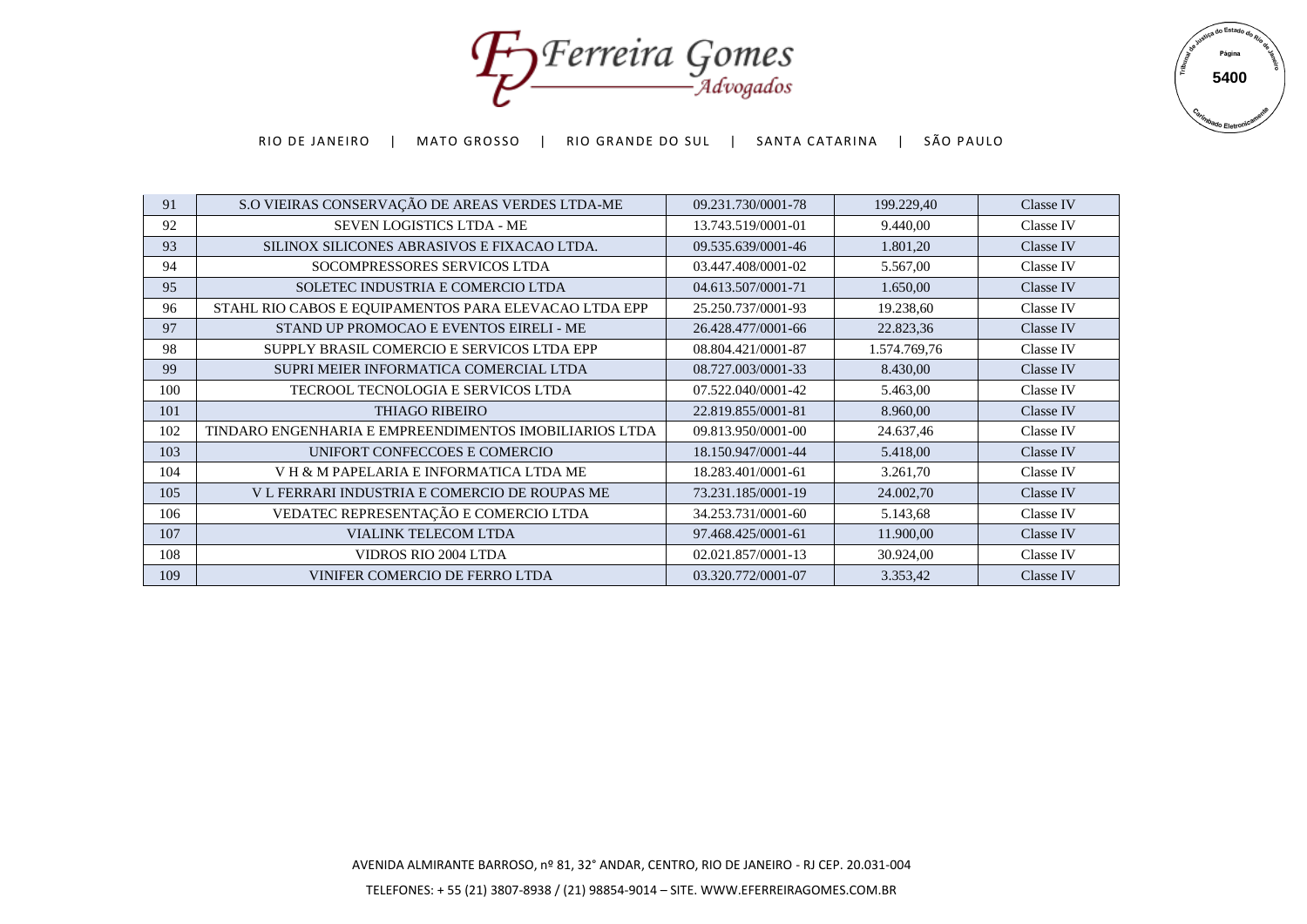Forreira Gomes



| 91  | S.O VIEIRAS CONSERVAÇÃO DE AREAS VERDES LTDA-ME        | 09.231.730/0001-78 | 199.229,40   | Classe IV        |
|-----|--------------------------------------------------------|--------------------|--------------|------------------|
| 92  | <b>SEVEN LOGISTICS LTDA - ME</b>                       | 13.743.519/0001-01 | 9.440,00     | Classe IV        |
| 93  | SILINOX SILICONES ABRASIVOS E FIXACAO LTDA.            | 09.535.639/0001-46 | 1.801,20     | Classe IV        |
| 94  | SOCOMPRESSORES SERVICOS LTDA                           | 03.447.408/0001-02 | 5.567,00     | Classe IV        |
| 95  | SOLETEC INDUSTRIA E COMERCIO LTDA                      | 04.613.507/0001-71 | 1.650,00     | Classe IV        |
| 96  | STAHL RIO CABOS E EQUIPAMENTOS PARA ELEVACAO LTDA EPP  | 25.250.737/0001-93 | 19.238,60    | Classe IV        |
| 97  | STAND UP PROMOCAO E EVENTOS EIRELI - ME                | 26.428.477/0001-66 | 22.823,36    | Classe IV        |
| 98  | SUPPLY BRASIL COMERCIO E SERVICOS LTDA EPP             | 08.804.421/0001-87 | 1.574.769,76 | Classe IV        |
| 99  | SUPRI MEIER INFORMATICA COMERCIAL LTDA                 | 08.727.003/0001-33 | 8.430,00     | Classe IV        |
| 100 | TECROOL TECNOLOGIA E SERVICOS LTDA                     | 07.522.040/0001-42 | 5.463,00     | Classe IV        |
| 101 | <b>THIAGO RIBEIRO</b>                                  | 22.819.855/0001-81 | 8.960,00     | Classe IV        |
| 102 | TINDARO ENGENHARIA E EMPREENDIMENTOS IMOBILIARIOS LTDA | 09.813.950/0001-00 | 24.637,46    | Classe IV        |
| 103 | UNIFORT CONFECCOES E COMERCIO                          | 18.150.947/0001-44 | 5.418,00     | Classe IV        |
| 104 | VH & M PAPELARIA E INFORMATICA LTDA ME                 | 18.283.401/0001-61 | 3.261,70     | Classe IV        |
| 105 | V L FERRARI INDUSTRIA E COMERCIO DE ROUPAS ME          | 73.231.185/0001-19 | 24.002,70    | Classe IV        |
| 106 | VEDATEC REPRESENTAÇÃO E COMERCIO LTDA                  | 34.253.731/0001-60 | 5.143,68     | Classe IV        |
| 107 | VIALINK TELECOM LTDA                                   | 97.468.425/0001-61 | 11.900,00    | Classe IV        |
| 108 | <b>VIDROS RIO 2004 LTDA</b>                            | 02.021.857/0001-13 | 30.924,00    | Classe IV        |
| 109 | VINIFER COMERCIO DE FERRO LTDA                         | 03.320.772/0001-07 | 3.353,42     | <b>Classe IV</b> |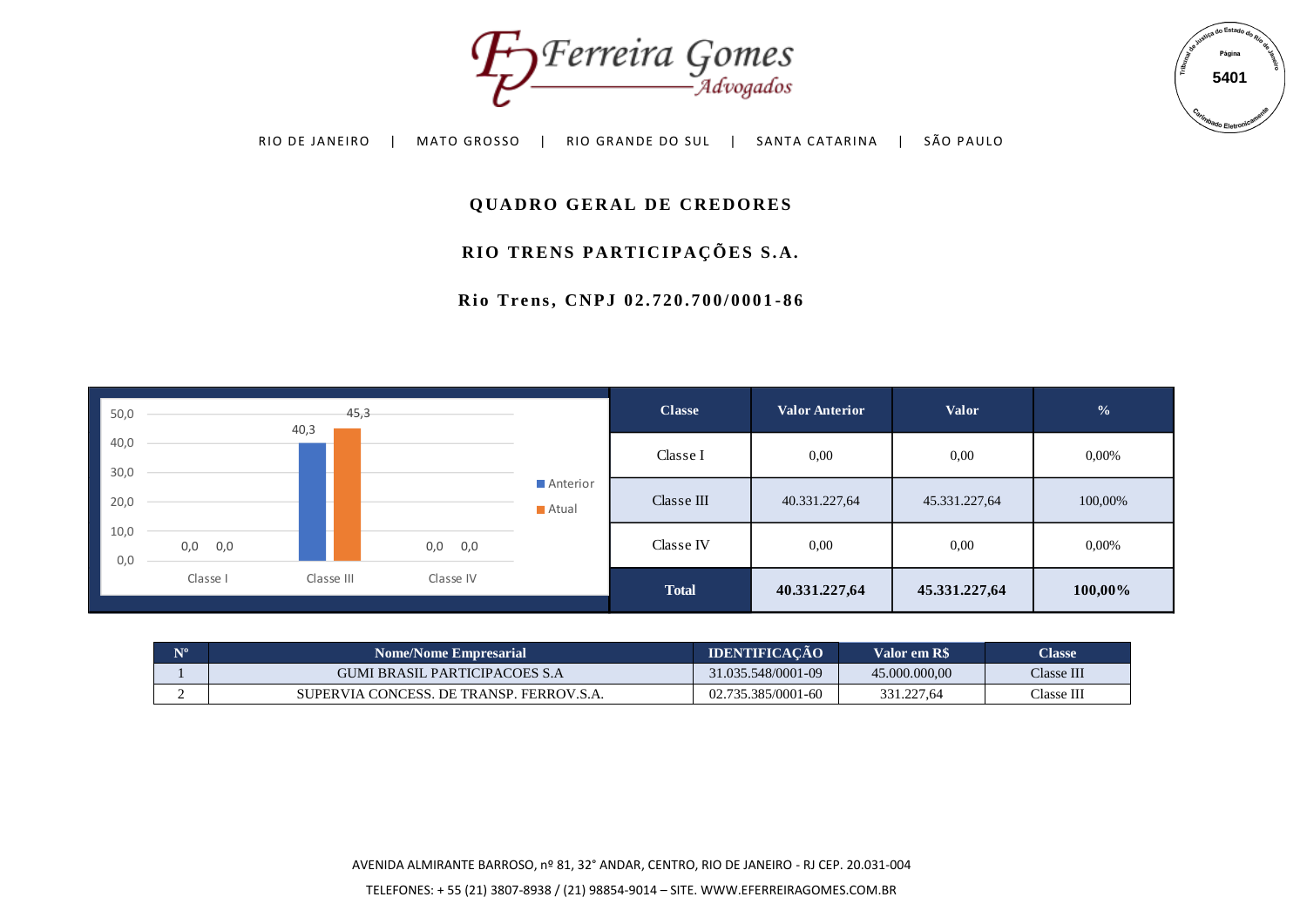



## **QUADRO GERAL DE CREDORES**

# RIO TRENS PARTICIPAÇÕES S.A.

**R i o T r e n s , C N P J 0 2 . 7 2 0 . 7 0 0 / 0 0 0 1 - 8 6**



| N <sub>10</sub> | <b>Nome/Nome Empresarial</b>             | <b>IDENTIFICACAO</b> | Valor em R\$  | <b>Classe</b> |
|-----------------|------------------------------------------|----------------------|---------------|---------------|
|                 | GUMI BRASIL PARTICIPACOES S.A            | 31.035.548/0001-09   | 45.000.000.00 | Classe III    |
|                 | SUPERVIA CONCESS. DE TRANSP. FERROV.S.A. | 02.735.385/0001-60   | 331.227,64    | Classe III    |

AVENIDA ALMIRANTE BARROSO, nº 81, 32° ANDAR, CENTRO, RIO DE JANEIRO - RJ CEP. 20.031-004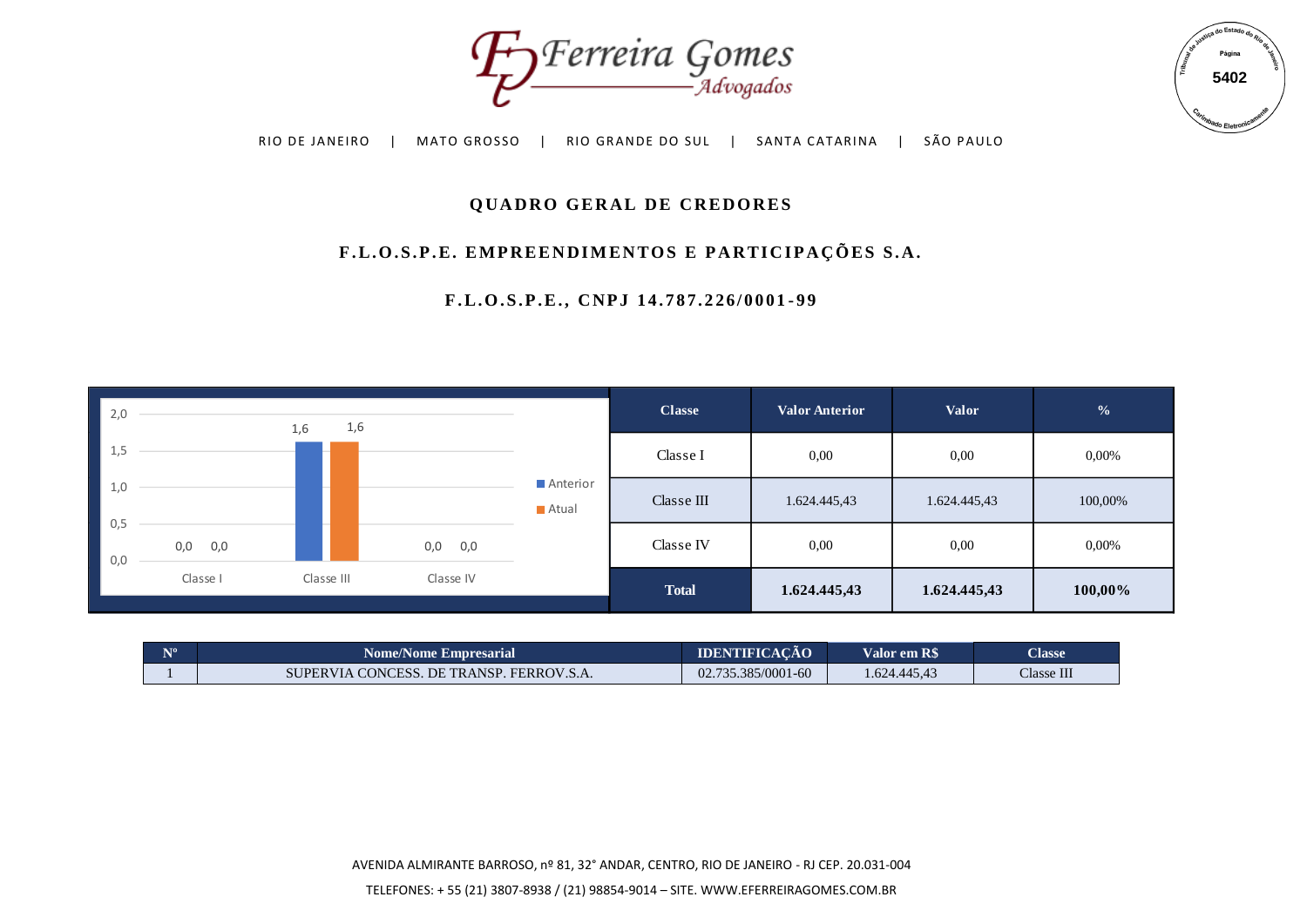



# **QUADRO GERAL DE CREDORES**

# F.L.O.S.P.E. EMPREENDIMENTOS E PARTICIPAÇÕES S.A.

**F . L . O . S . P . E . , C N P J 1 4 . 7 8 7 . 2 2 6 / 0 0 0 1 - 9 9**



| $\mathbf{N}^{\mathbf{o}}$ | <b>Nome/Nome Empresarial</b>             | <b>IDENTIFICACAO</b> | Valor em R\$ | <b>Classe</b> |
|---------------------------|------------------------------------------|----------------------|--------------|---------------|
|                           | SUPERVIA CONCESS. DE TRANSP. FERROV.S.A. | 02.735.385/0001-60   | 1.624.445,43 | Classe III    |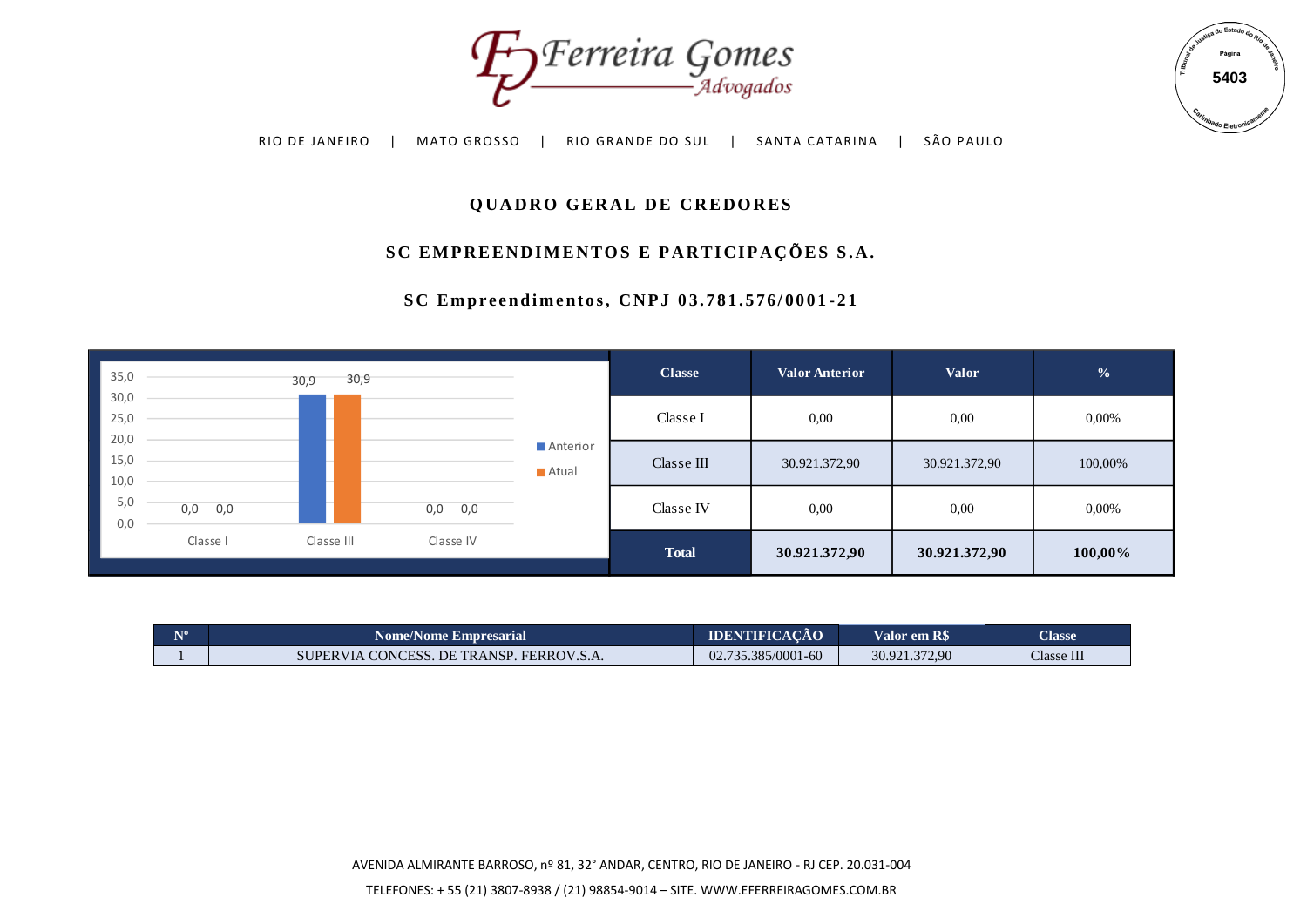



# **QUADRO GERAL DE CREDORES**

# SC EMPREENDIMENTOS E PARTICIPAÇÕES S.A.

| $\checkmark$<br>- Advogados<br>SÃO PAULO<br>SANTA CATARINA<br>RIO DE JANEIRO<br>MATO GROSSO<br>RIO GRANDE DO SUL |             |              |            |                   |                                             |                       |               | 5403<br><i>Irimbado</i> Eletron <sup>i</sup> |  |
|------------------------------------------------------------------------------------------------------------------|-------------|--------------|------------|-------------------|---------------------------------------------|-----------------------|---------------|----------------------------------------------|--|
| <b>QUADRO GERAL DE CREDORES</b>                                                                                  |             |              |            |                   |                                             |                       |               |                                              |  |
|                                                                                                                  |             |              |            |                   | SC EMPREENDIMENTOS E PARTICIPAÇÕES S.A.     |                       |               |                                              |  |
|                                                                                                                  |             |              |            |                   | SC Empreendimentos, CNPJ 03.781.576/0001-21 |                       |               |                                              |  |
| 35,0                                                                                                             |             | 30,9<br>30,9 |            |                   | <b>Classe</b>                               | <b>Valor Anterior</b> | <b>Valor</b>  | $\frac{6}{6}$                                |  |
| 30,0<br>25,0                                                                                                     |             |              |            |                   | Classe I                                    | 0,00                  | 0,00          | 0,00%                                        |  |
| 20,0<br>15,0<br>10,0                                                                                             |             |              |            | Anterior<br>Atual | Classe $\rm III$                            | 30.921.372,90         | 30.921.372,90 | 100,00%                                      |  |
| 5,0<br>0,0                                                                                                       | $0,0$ $0,0$ |              | 0,0<br>0,0 |                   | Classe IV                                   | 0,00                  | 0,00          | 0,00%                                        |  |
|                                                                                                                  | Classe I    | Classe III   | Classe IV  |                   | <b>Total</b>                                | 30.921.372,90         | 30.921.372,90 | 100,00%                                      |  |

| N <sub>10</sub> | <b>Nome/Nome Empresarial</b>             | <b>IDENTIFICACÃO</b> | Valor em R\$' | <b>Classe</b> |
|-----------------|------------------------------------------|----------------------|---------------|---------------|
|                 | SUPERVIA CONCESS. DE TRANSP. FERROV.S.A. | 02.735.385/0001-60   | 30.921.372,90 | Classe III    |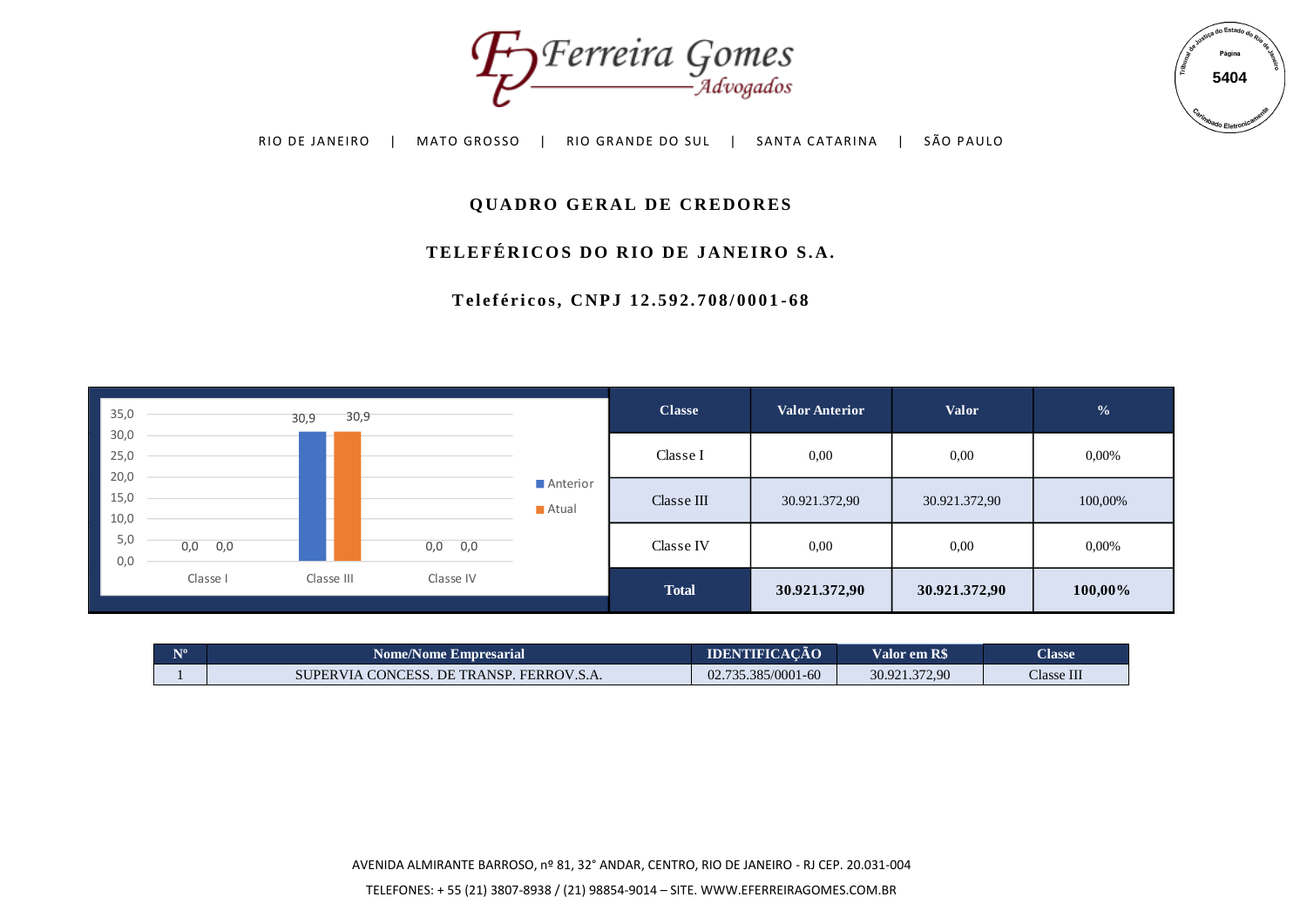



# **QUADRO GERAL DE CREDORES**

# TELEFÉRICOS DO RIO DE JANEIRO S.A.

**T e l e f é r i c o s , C N P J 1 2 . 5 9 2 . 7 0 8 / 0 0 0 1 - 6 8**



| $N^{\circ}$ | <b>Nome/Nome Empresarial</b>             | <b>IDENTIFICACAO</b> | Valor em R\$  | <b>Classe</b> |
|-------------|------------------------------------------|----------------------|---------------|---------------|
|             | SUPERVIA CONCESS. DE TRANSP. FERROV.S.A. | 02.735.385/0001-60   | 30.921.372,90 | Classe III    |